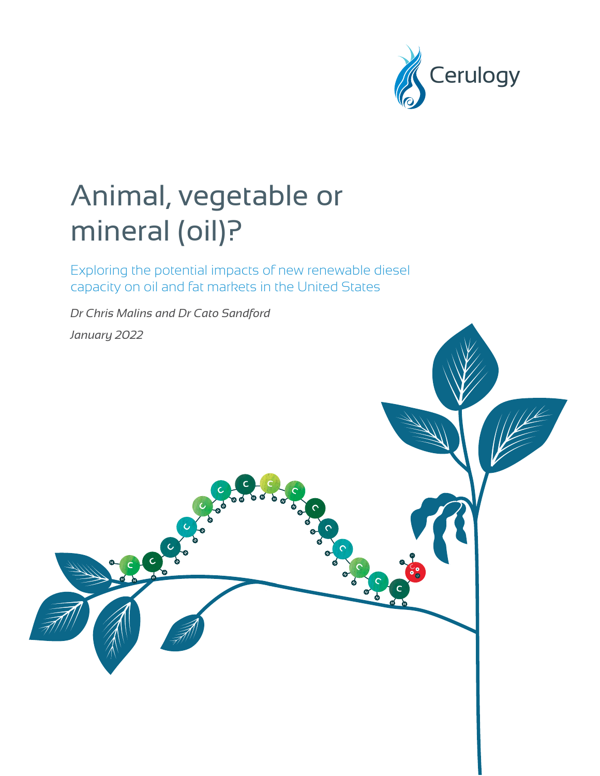

# Animal, vegetable or mineral (oil)?

Exploring the potential impacts of new renewable diesel capacity on oil and fat markets in the United States

*Dr Chris Malins and Dr Cato Sandford January 2022*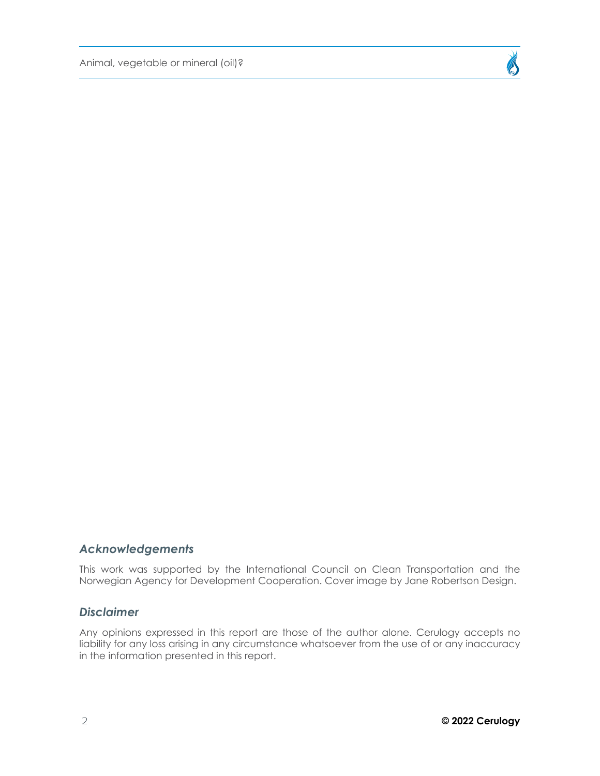Animal, vegetable or mineral (oil)?



### *Acknowledgements*

This work was supported by the International Council on Clean Transportation and the Norwegian Agency for Development Cooperation. Cover image by Jane Robertson Design.

### *Disclaimer*

Any opinions expressed in this report are those of the author alone. Cerulogy accepts no liability for any loss arising in any circumstance whatsoever from the use of or any inaccuracy in the information presented in this report.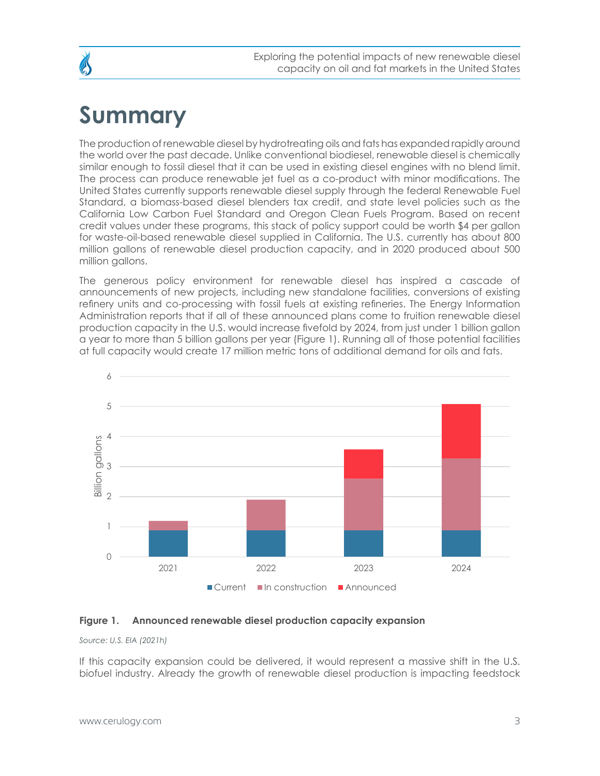## <span id="page-2-0"></span>**Summary**

The production of renewable diesel by hydrotreating oils and fats has expanded rapidly around the world over the past decade. Unlike conventional biodiesel, renewable diesel is chemically similar enough to fossil diesel that it can be used in existing diesel engines with no blend limit. The process can produce renewable jet fuel as a co-product with minor modifications. The United States currently supports renewable diesel supply through the federal Renewable Fuel Standard, a biomass-based diesel blenders tax credit, and state level policies such as the California Low Carbon Fuel Standard and Oregon Clean Fuels Program. Based on recent credit values under these programs, this stack of policy support could be worth \$4 per gallon for waste-oil-based renewable diesel supplied in California. The U.S. currently has about 800 million gallons of renewable diesel production capacity, and in 2020 produced about 500 million gallons.

The generous policy environment for renewable diesel has inspired a cascade of announcements of new projects, including new standalone facilities, conversions of existing refinery units and co-processing with fossil fuels at existing refineries. The Energy Information Administration reports that if all of these announced plans come to fruition renewable diesel production capacity in the U.S. would increase fivefold by 2024, from just under 1 billion gallon a year to more than 5 billion gallons per year (Figure 1). Running all of those potential facilities at full capacity would create 17 million metric tons of additional demand for oils and fats.



#### **Figure 1. Announced renewable diesel production capacity expansion**

*Source: U.S. EIA (2021h)*

If this capacity expansion could be delivered, it would represent a massive shift in the U.S. biofuel industry. Already the growth of renewable diesel production is impacting feedstock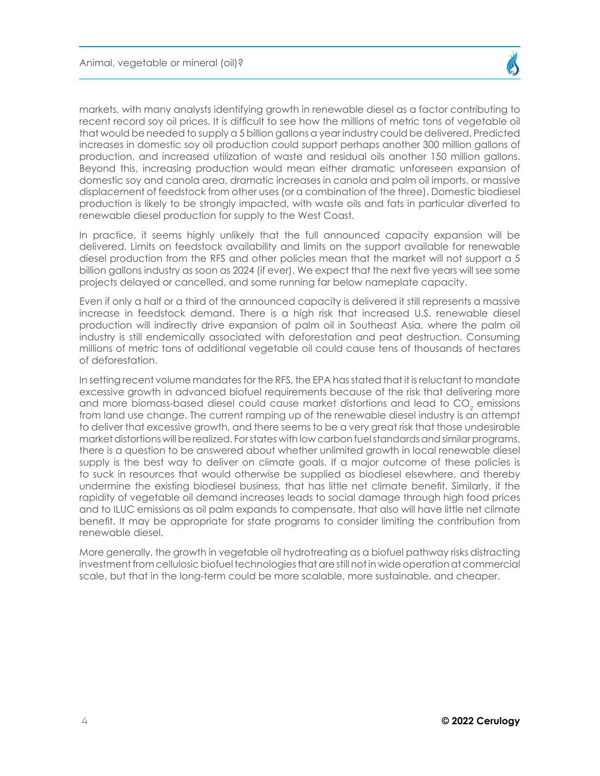markets, with many analysts identifying growth in renewable diesel as a factor contributing to recent record soy oil prices. It is difficult to see how the millions of metric tons of vegetable oil that would be needed to supply a 5 billion gallons a year industry could be delivered. Predicted increases in domestic soy oil production could support perhaps another 300 million gallons of production, and increased utilization of waste and residual oils another 150 million gallons. Beyond this, increasing production would mean either dramatic unforeseen expansion of domestic soy and canola area, dramatic increases in canola and palm oil imports, or massive displacement of feedstock from other uses (or a combination of the three). Domestic biodiesel production is likely to be strongly impacted, with waste oils and fats in particular diverted to renewable diesel production for supply to the West Coast.

In practice, it seems highly unlikely that the full announced capacity expansion will be delivered. Limits on feedstock availability and limits on the support available for renewable diesel production from the RFS and other policies mean that the market will not support a 5 billion gallons industry as soon as 2024 (if ever). We expect that the next five years will see some projects delayed or cancelled, and some running far below nameplate capacity.

Even if only a half or a third of the announced capacity is delivered it still represents a massive increase in feedstock demand. There is a high risk that increased U.S. renewable diesel production will indirectly drive expansion of palm oil in Southeast Asia, where the palm oil industry is still endemically associated with deforestation and peat destruction. Consuming millions of metric tons of additional vegetable oil could cause tens of thousands of hectares of deforestation.

In setting recent volume mandates for the RFS, the EPA has stated that it is reluctant to mandate excessive growth in advanced biofuel requirements because of the risk that delivering more and more biomass-based diesel could cause market distortions and lead to CO $_{\textrm{\tiny{2}}}$  emissions from land use change. The current ramping up of the renewable diesel industry is an attempt to deliver that excessive growth, and there seems to be a very great risk that those undesirable market distortions will be realized. For states with low carbon fuel standards and similar programs, there is a question to be answered about whether unlimited growth in local renewable diesel supply is the best way to deliver on climate goals. If a major outcome of these policies is to suck in resources that would otherwise be supplied as biodiesel elsewhere, and thereby undermine the existing biodiesel business, that has little net climate benefit. Similarly, if the rapidity of vegetable oil demand increases leads to social damage through high food prices and to ILUC emissions as oil palm expands to compensate, that also will have little net climate benefit. It may be appropriate for state programs to consider limiting the contribution from renewable diesel.

More generally, the growth in vegetable oil hydrotreating as a biofuel pathway risks distracting investment from cellulosic biofuel technologies that are still not in wide operation at commercial scale, but that in the long-term could be more scalable, more sustainable, and cheaper.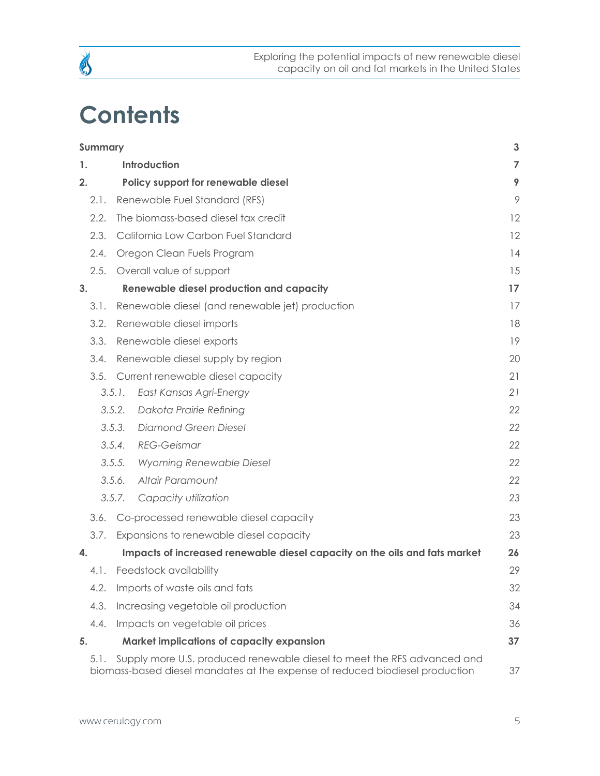## **Contents**

B

|    | <b>Summary</b> |        |                                                                                                                                                         | $\mathbf{3}$   |
|----|----------------|--------|---------------------------------------------------------------------------------------------------------------------------------------------------------|----------------|
| 1. |                |        | Introduction                                                                                                                                            | $\overline{7}$ |
| 2. |                |        | Policy support for renewable diesel                                                                                                                     | 9              |
|    | 2.1.           |        | Renewable Fuel Standard (RFS)                                                                                                                           | 9              |
|    | 2.2.           |        | The biomass-based diesel tax credit                                                                                                                     | 12             |
|    | 2.3.           |        | California Low Carbon Fuel Standard                                                                                                                     | 12             |
|    | 2.4.           |        | Oregon Clean Fuels Program                                                                                                                              | 14             |
|    | 2.5.           |        | Overall value of support                                                                                                                                | 15             |
| 3. |                |        | <b>Renewable diesel production and capacity</b>                                                                                                         | 17             |
|    | 3.1.           |        | Renewable diesel (and renewable jet) production                                                                                                         | 17             |
|    | 3.2.           |        | Renewable diesel imports                                                                                                                                | 18             |
|    | 3.3.           |        | Renewable diesel exports                                                                                                                                | 19             |
|    | 3.4.           |        | Renewable diesel supply by region                                                                                                                       | 20             |
|    | 3.5.           |        | Current renewable diesel capacity                                                                                                                       | 21             |
|    |                | 3.5.1. | East Kansas Agri-Energy                                                                                                                                 | 21             |
|    |                | 3.5.2. | Dakota Prairie Refining                                                                                                                                 | 22             |
|    |                | 3.5.3. | <b>Diamond Green Diesel</b>                                                                                                                             | 22             |
|    |                | 3.5.4. | <b>REG-Geismar</b>                                                                                                                                      | 22             |
|    |                | 3.5.5. | <b>Wyoming Renewable Diesel</b>                                                                                                                         | 22             |
|    |                | 3.5.6. | Altair Paramount                                                                                                                                        | 22             |
|    |                | 3.5.7. | Capacity utilization                                                                                                                                    | 23             |
|    | 3.6.           |        | Co-processed renewable diesel capacity                                                                                                                  | 23             |
|    | 3.7.           |        | Expansions to renewable diesel capacity                                                                                                                 | 23             |
| 4. |                |        | Impacts of increased renewable diesel capacity on the oils and fats market                                                                              | 26             |
|    | 4.1.           |        | Feedstock availability                                                                                                                                  | 29             |
|    | 4.2.           |        | Imports of waste oils and fats                                                                                                                          | 32             |
|    | 4.3.           |        | Increasing vegetable oil production                                                                                                                     | 34             |
|    | 4.4.           |        | Impacts on vegetable oil prices                                                                                                                         | 36             |
| 5. |                |        | <b>Market implications of capacity expansion</b>                                                                                                        | 37             |
|    | 5.1.           |        | Supply more U.S. produced renewable diesel to meet the RFS advanced and<br>biomass-based diesel mandates at the expense of reduced biodiesel production | 37             |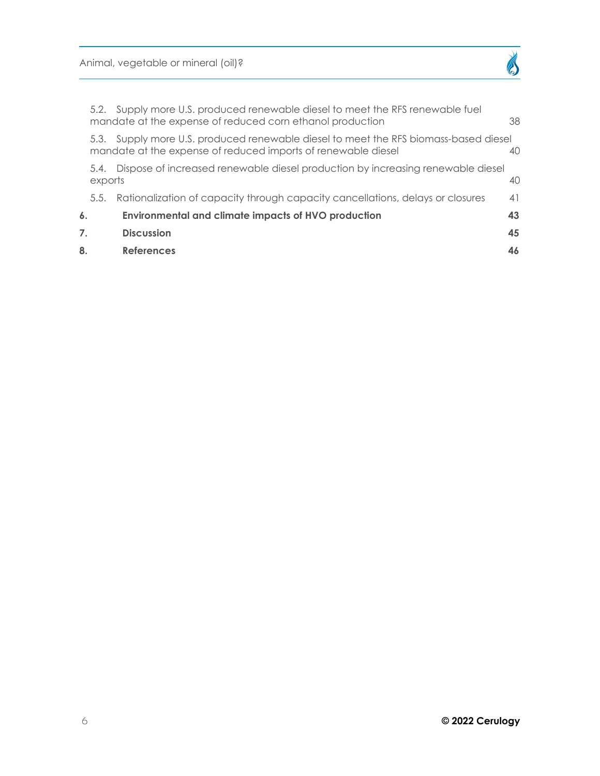Animal, vegetable or mineral (oil)?

| 8. |                 | <b>References</b>                                                                                                                                     | 46 |
|----|-----------------|-------------------------------------------------------------------------------------------------------------------------------------------------------|----|
| 7. |                 | <b>Discussion</b>                                                                                                                                     | 45 |
| 6. |                 | <b>Environmental and climate impacts of HVO production</b>                                                                                            | 43 |
|    | 5.5.            | Rationalization of capacity through capacity cancellations, delays or closures                                                                        | 41 |
|    | 5.4.<br>exports | Dispose of increased renewable diesel production by increasing renewable diesel                                                                       | 40 |
|    |                 | 5.3. Supply more U.S. produced renewable diesel to meet the RFS biomass-based diesel<br>mandate at the expense of reduced imports of renewable diesel | 40 |
|    |                 | 5.2. Supply more U.S. produced renewable diesel to meet the RFS renewable fuel<br>mandate at the expense of reduced corn ethanol production           | 38 |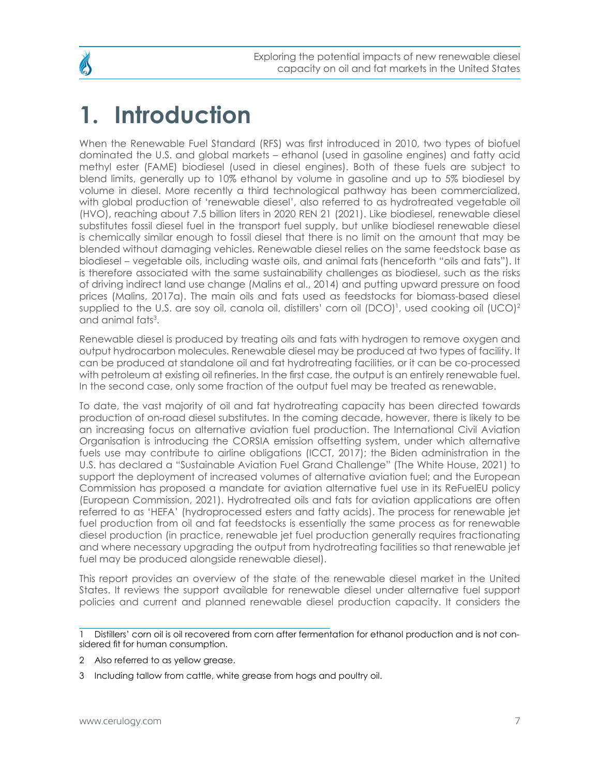## <span id="page-6-0"></span>**1. Introduction**

When the Renewable Fuel Standard (RFS) was first introduced in 2010, two types of biofuel dominated the U.S. and global markets – ethanol (used in gasoline engines) and fatty acid methyl ester (FAME) biodiesel (used in diesel engines). Both of these fuels are subject to blend limits, generally up to 10% ethanol by volume in gasoline and up to 5% biodiesel by volume in diesel. More recently a third technological pathway has been commercialized, with global production of 'renewable diesel', also referred to as hydrotreated vegetable oil (HVO), reaching about 7.5 billion liters in 2020 REN 21 (2021). Like biodiesel, renewable diesel substitutes fossil diesel fuel in the transport fuel supply, but unlike biodiesel renewable diesel is chemically similar enough to fossil diesel that there is no limit on the amount that may be blended without damaging vehicles. Renewable diesel relies on the same feedstock base as biodiesel – vegetable oils, including waste oils, and animal fats(henceforth "oils and fats"). It is therefore associated with the same sustainability challenges as biodiesel, such as the risks of driving indirect land use change (Malins et al., 2014) and putting upward pressure on food prices (Malins, 2017a). The main oils and fats used as feedstocks for biomass-based diesel supplied to the U.S. are soy oil, canola oil, distillers' corn oil (DCO)<sup>1</sup>, used cooking oil (UCO)<sup>2</sup> and animal fats<sup>3</sup>.

Renewable diesel is produced by treating oils and fats with hydrogen to remove oxygen and output hydrocarbon molecules. Renewable diesel may be produced at two types of facility. It can be produced at standalone oil and fat hydrotreating facilities, or it can be co-processed with petroleum at existing oil refineries. In the first case, the output is an entirely renewable fuel. In the second case, only some fraction of the output fuel may be treated as renewable.

To date, the vast majority of oil and fat hydrotreating capacity has been directed towards production of on-road diesel substitutes. In the coming decade, however, there is likely to be an increasing focus on alternative aviation fuel production. The International Civil Aviation Organisation is introducing the CORSIA emission offsetting system, under which alternative fuels use may contribute to airline obligations (ICCT, 2017); the Biden administration in the U.S. has declared a "Sustainable Aviation Fuel Grand Challenge" (The White House, 2021) to support the deployment of increased volumes of alternative aviation fuel; and the European Commission has proposed a mandate for aviation alternative fuel use in its ReFuelEU policy (European Commission, 2021). Hydrotreated oils and fats for aviation applications are often referred to as 'HEFA' (hydroprocessed esters and fatty acids). The process for renewable jet fuel production from oil and fat feedstocks is essentially the same process as for renewable diesel production (in practice, renewable jet fuel production generally requires fractionating and where necessary upgrading the output from hydrotreating facilities so that renewable jet fuel may be produced alongside renewable diesel).

This report provides an overview of the state of the renewable diesel market in the United States. It reviews the support available for renewable diesel under alternative fuel support policies and current and planned renewable diesel production capacity. It considers the

2 Also referred to as yellow grease.

Distillers' corn oil is oil recovered from corn after fermentation for ethanol production and is not considered fit for human consumption.

<sup>3</sup> Including tallow from cattle, white grease from hogs and poultry oil.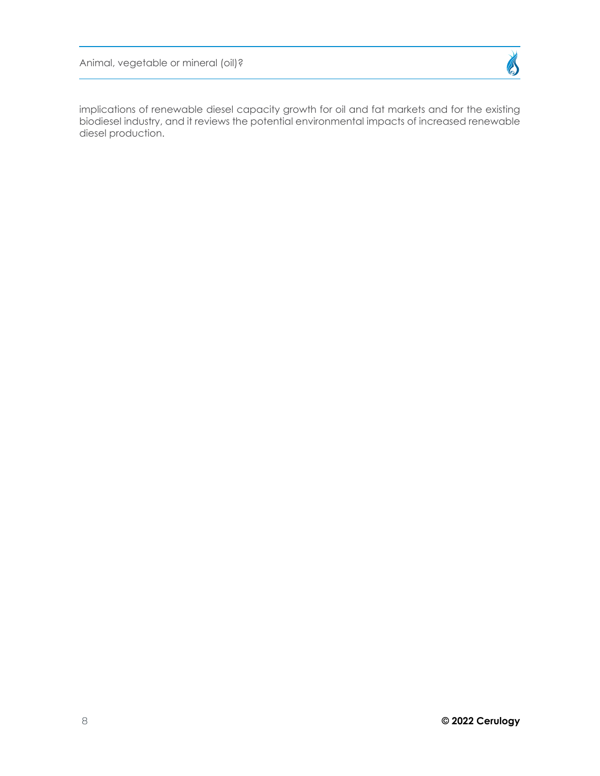Animal, vegetable or mineral (oil)?



implications of renewable diesel capacity growth for oil and fat markets and for the existing biodiesel industry, and it reviews the potential environmental impacts of increased renewable diesel production.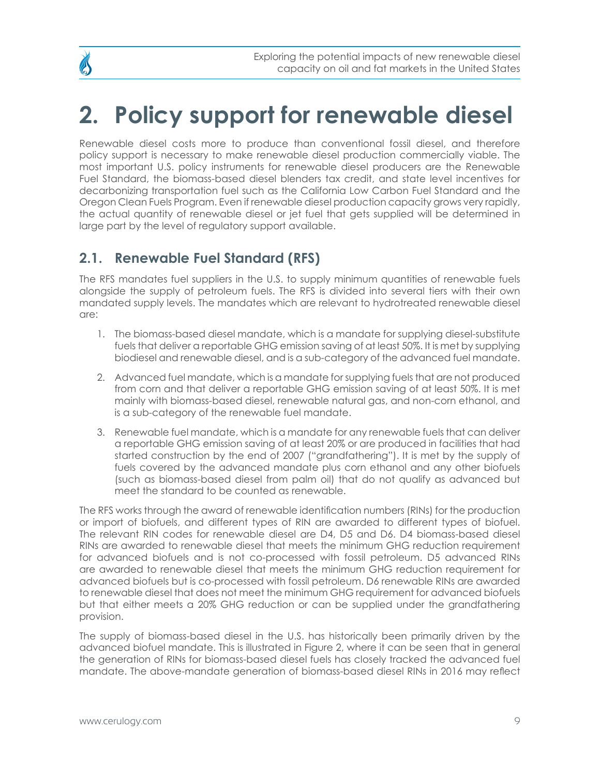# <span id="page-8-0"></span>**2. Policy support for renewable diesel**

Renewable diesel costs more to produce than conventional fossil diesel, and therefore policy support is necessary to make renewable diesel production commercially viable. The most important U.S. policy instruments for renewable diesel producers are the Renewable Fuel Standard, the biomass-based diesel blenders tax credit, and state level incentives for decarbonizing transportation fuel such as the California Low Carbon Fuel Standard and the Oregon Clean Fuels Program. Even if renewable diesel production capacity grows very rapidly, the actual quantity of renewable diesel or jet fuel that gets supplied will be determined in large part by the level of regulatory support available.

## **2.1. Renewable Fuel Standard (RFS)**

The RFS mandates fuel suppliers in the U.S. to supply minimum quantities of renewable fuels alongside the supply of petroleum fuels. The RFS is divided into several tiers with their own mandated supply levels. The mandates which are relevant to hydrotreated renewable diesel are:

- 1. The biomass-based diesel mandate, which is a mandate for supplying diesel-substitute fuels that deliver a reportable GHG emission saving of at least 50%. It is met by supplying biodiesel and renewable diesel, and is a sub-category of the advanced fuel mandate.
- 2. Advanced fuel mandate, which is a mandate for supplying fuels that are not produced from corn and that deliver a reportable GHG emission saving of at least 50%. It is met mainly with biomass-based diesel, renewable natural gas, and non-corn ethanol, and is a sub-category of the renewable fuel mandate.
- 3. Renewable fuel mandate, which is a mandate for any renewable fuels that can deliver a reportable GHG emission saving of at least 20% or are produced in facilities that had started construction by the end of 2007 ("grandfathering"). It is met by the supply of fuels covered by the advanced mandate plus corn ethanol and any other biofuels (such as biomass-based diesel from palm oil) that do not qualify as advanced but meet the standard to be counted as renewable.

The RFS works through the award of renewable identification numbers (RINs) for the production or import of biofuels, and different types of RIN are awarded to different types of biofuel. The relevant RIN codes for renewable diesel are D4, D5 and D6. D4 biomass-based diesel RINs are awarded to renewable diesel that meets the minimum GHG reduction requirement for advanced biofuels and is not co-processed with fossil petroleum. D5 advanced RINs are awarded to renewable diesel that meets the minimum GHG reduction requirement for advanced biofuels but is co-processed with fossil petroleum. D6 renewable RINs are awarded to renewable diesel that does not meet the minimum GHG requirement for advanced biofuels but that either meets a 20% GHG reduction or can be supplied under the grandfathering provision.

The supply of biomass-based diesel in the U.S. has historically been primarily driven by the advanced biofuel mandate. This is illustrated in Figure 2, where it can be seen that in general the generation of RINs for biomass-based diesel fuels has closely tracked the advanced fuel mandate. The above-mandate generation of biomass-based diesel RINs in 2016 may reflect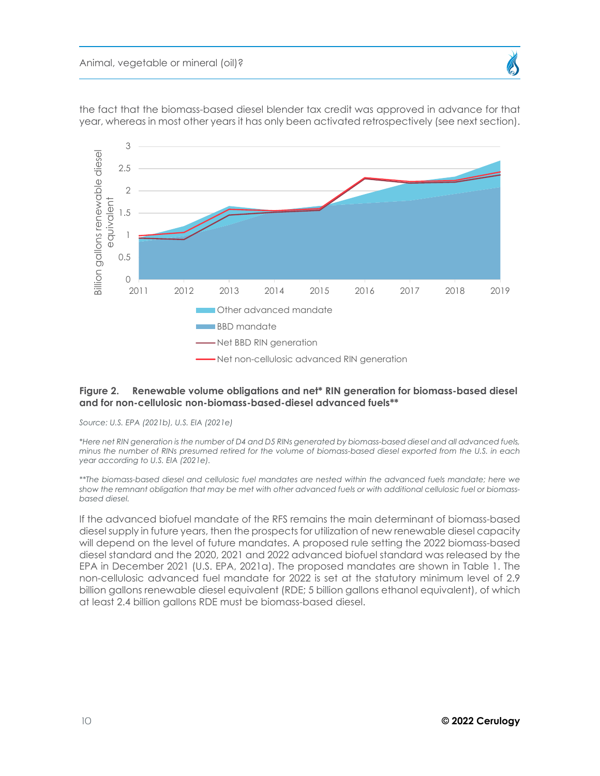

the fact that the biomass-based diesel blender tax credit was approved in advance for that year, whereas in most other years it has only been activated retrospectively (see next section).

#### **Figure 2. Renewable volume obligations and net\* RIN generation for biomass-based diesel and for non-cellulosic non-biomass-based-diesel advanced fuels\*\***

*Source: U.S. EPA (2021b), U.S. EIA (2021e)*

*\*Here net RIN generation is the number of D4 and D5 RINs generated by biomass-based diesel and all advanced fuels, minus the number of RINs presumed retired for the volume of biomass-based diesel exported from the U.S. in each year according to U.S. EIA (2021e).*

*\*\*The biomass-based diesel and cellulosic fuel mandates are nested within the advanced fuels mandate; here we show the remnant obligation that may be met with other advanced fuels or with additional cellulosic fuel or biomassbased diesel.* 

If the advanced biofuel mandate of the RFS remains the main determinant of biomass-based diesel supply in future years, then the prospects for utilization of new renewable diesel capacity will depend on the level of future mandates. A proposed rule setting the 2022 biomass-based diesel standard and the 2020, 2021 and 2022 advanced biofuel standard was released by the EPA in December 2021 (U.S. EPA, 2021a). The proposed mandates are shown in Table 1. The non-cellulosic advanced fuel mandate for 2022 is set at the statutory minimum level of 2.9 billion gallons renewable diesel equivalent (RDE; 5 billion gallons ethanol equivalent), of which at least 2.4 billion gallons RDE must be biomass-based diesel.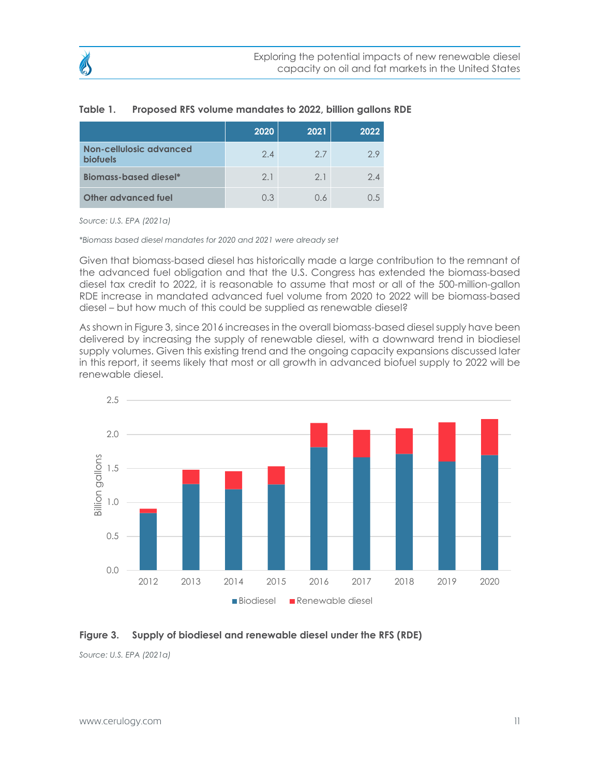|                                            | 2020 | 2021 | 2022 |
|--------------------------------------------|------|------|------|
| Non-cellulosic advanced<br><b>biofuels</b> | 2.4  | 2.7  | 2.9  |
| <b>Biomass-based diesel*</b>               | 2.1  | 2.1  | 24   |
| Other advanced fuel                        | 0.3  | 0 K  |      |

#### **Table 1. Proposed RFS volume mandates to 2022, billion gallons RDE**

*Source: U.S. EPA (2021a)*

*\*Biomass based diesel mandates for 2020 and 2021 were already set* 

Given that biomass-based diesel has historically made a large contribution to the remnant of the advanced fuel obligation and that the U.S. Congress has extended the biomass-based diesel tax credit to 2022, it is reasonable to assume that most or all of the 500-million-gallon RDE increase in mandated advanced fuel volume from 2020 to 2022 will be biomass-based diesel – but how much of this could be supplied as renewable diesel?

As shown in Figure 3, since 2016 increases in the overall biomass-based diesel supply have been delivered by increasing the supply of renewable diesel, with a downward trend in biodiesel supply volumes. Given this existing trend and the ongoing capacity expansions discussed later in this report, it seems likely that most or all growth in advanced biofuel supply to 2022 will be renewable diesel.



#### **Figure 3. Supply of biodiesel and renewable diesel under the RFS (RDE)**

*Source: U.S. EPA (2021a)*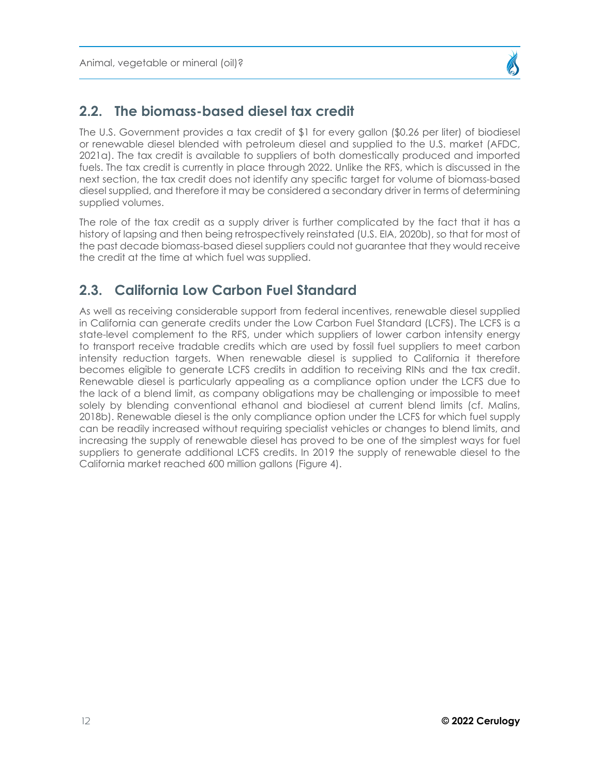## <span id="page-11-0"></span>**2.2. The biomass-based diesel tax credit**

The U.S. Government provides a tax credit of \$1 for every gallon (\$0.26 per liter) of biodiesel or renewable diesel blended with petroleum diesel and supplied to the U.S. market (AFDC, 2021a). The tax credit is available to suppliers of both domestically produced and imported fuels. The tax credit is currently in place through 2022. Unlike the RFS, which is discussed in the next section, the tax credit does not identify any specific target for volume of biomass-based diesel supplied, and therefore it may be considered a secondary driver in terms of determining supplied volumes.

The role of the tax credit as a supply driver is further complicated by the fact that it has a history of lapsing and then being retrospectively reinstated (U.S. EIA, 2020b), so that for most of the past decade biomass-based diesel suppliers could not guarantee that they would receive the credit at the time at which fuel was supplied.

## **2.3. California Low Carbon Fuel Standard**

As well as receiving considerable support from federal incentives, renewable diesel supplied in California can generate credits under the Low Carbon Fuel Standard (LCFS). The LCFS is a state-level complement to the RFS, under which suppliers of lower carbon intensity energy to transport receive tradable credits which are used by fossil fuel suppliers to meet carbon intensity reduction targets. When renewable diesel is supplied to California it therefore becomes eligible to generate LCFS credits in addition to receiving RINs and the tax credit. Renewable diesel is particularly appealing as a compliance option under the LCFS due to the lack of a blend limit, as company obligations may be challenging or impossible to meet solely by blending conventional ethanol and biodiesel at current blend limits (cf. Malins, 2018b). Renewable diesel is the only compliance option under the LCFS for which fuel supply can be readily increased without requiring specialist vehicles or changes to blend limits, and increasing the supply of renewable diesel has proved to be one of the simplest ways for fuel suppliers to generate additional LCFS credits. In 2019 the supply of renewable diesel to the California market reached 600 million gallons (Figure 4).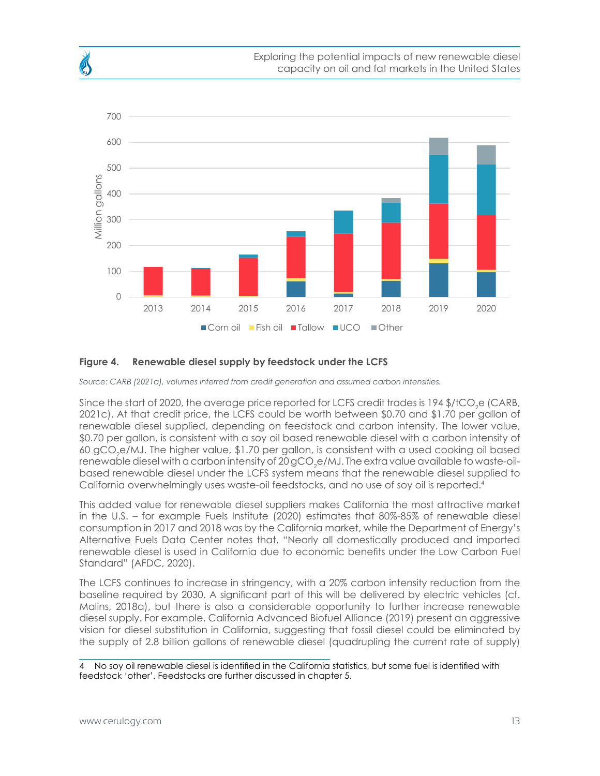

### **Figure 4. Renewable diesel supply by feedstock under the LCFS**

*Source: CARB (2021a), volumes inferred from credit generation and assumed carbon intensities.*

Since the start of 2020, the average price reported for LCFS credit trades is 194 \$/tCO<sub>2</sub>e (CARB, 2021c). At that credit price, the LCFS could be worth between \$0.70 and \$1.70 per gallon of renewable diesel supplied, depending on feedstock and carbon intensity. The lower value, \$0.70 per gallon, is consistent with a soy oil based renewable diesel with a carbon intensity of 60 gCO $_{\rm 2}$ e/MJ. The higher value, \$1.70 per gallon, is consistent with a used cooking oil based renewable diesel with a carbon intensity of 20 gCO<sub>2</sub>e/MJ. The extra value available to waste-oilbased renewable diesel under the LCFS system means that the renewable diesel supplied to California overwhelmingly uses waste-oil feedstocks, and no use of soy oil is reported.4

This added value for renewable diesel suppliers makes California the most attractive market in the U.S. – for example Fuels Institute (2020) estimates that 80%-85% of renewable diesel consumption in 2017 and 2018 was by the California market, while the Department of Energy's Alternative Fuels Data Center notes that, "Nearly all domestically produced and imported renewable diesel is used in California due to economic benefits under the Low Carbon Fuel Standard" (AFDC, 2020).

The LCFS continues to increase in stringency, with a 20% carbon intensity reduction from the baseline required by 2030. A significant part of this will be delivered by electric vehicles (cf. Malins, 2018a), but there is also a considerable opportunity to further increase renewable diesel supply. For example, California Advanced Biofuel Alliance (2019) present an aggressive vision for diesel substitution in California, suggesting that fossil diesel could be eliminated by the supply of 2.8 billion gallons of renewable diesel (quadrupling the current rate of supply)

No soy oil renewable diesel is identified in the California statistics, but some fuel is identified with feedstock 'other'. Feedstocks are further discussed in chapter [5.](#page-25-1)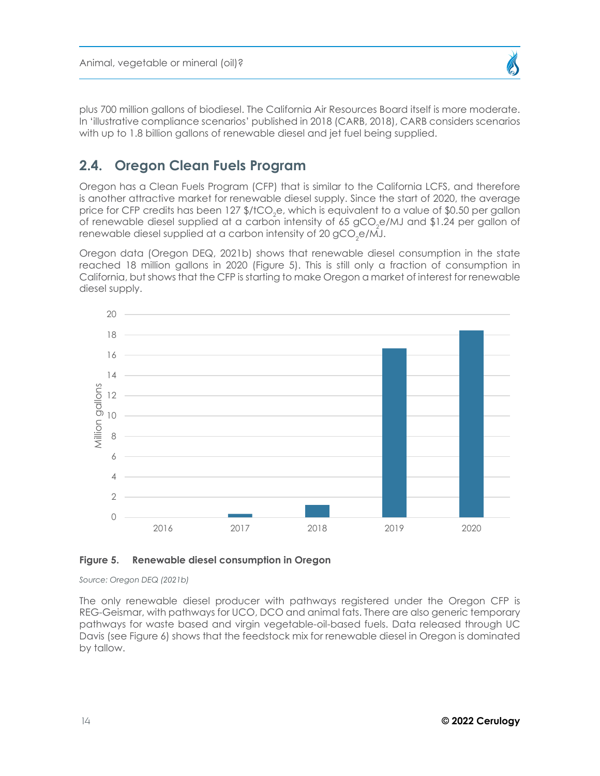

<span id="page-13-0"></span>plus 700 million gallons of biodiesel. The California Air Resources Board itself is more moderate. In 'illustrative compliance scenarios' published in 2018 (CARB, 2018), CARB considers scenarios with up to 1.8 billion gallons of renewable diesel and jet fuel being supplied.

## **2.4. Oregon Clean Fuels Program**

Oregon has a Clean Fuels Program (CFP) that is similar to the California LCFS, and therefore is another attractive market for renewable diesel supply. Since the start of 2020, the average price for CFP credits has been 127  $\frac{\epsilon}{2}$ , which is equivalent to a value of  $\frac{\epsilon}{2}$ 0.50 per gallon of renewable diesel supplied at a carbon intensity of 65 gCO $_{\textrm{\tiny{2}}}$ e/MJ and \$1.24 per gallon of renewable diesel supplied at a carbon intensity of 20 gCO<sub>2</sub>e/MJ.

Oregon data (Oregon DEQ, 2021b) shows that renewable diesel consumption in the state reached 18 million gallons in 2020 (Figure 5). This is still only a fraction of consumption in California, but shows that the CFP is starting to make Oregon a market of interest for renewable diesel supply.



#### **Figure 5. Renewable diesel consumption in Oregon**

*Source: Oregon DEQ (2021b)*

The only renewable diesel producer with pathways registered under the Oregon CFP is REG-Geismar, with pathways for UCO, DCO and animal fats. There are also generic temporary pathways for waste based and virgin vegetable-oil-based fuels. Data released through UC Davis (see Figure 6) shows that the feedstock mix for renewable diesel in Oregon is dominated by tallow.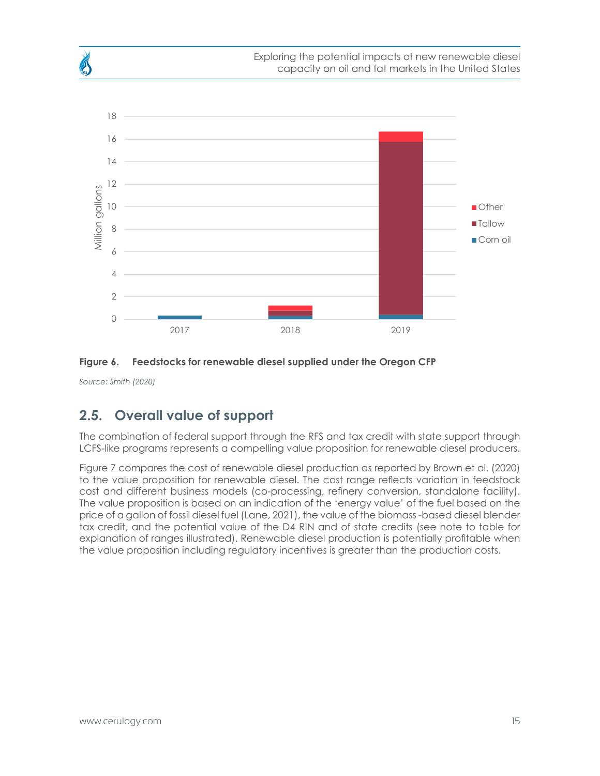<span id="page-14-0"></span>



*Source: Smith (2020)*

## **2.5. Overall value of support**

The combination of federal support through the RFS and tax credit with state support through LCFS-like programs represents a compelling value proposition for renewable diesel producers.

Figure 7 compares the cost of renewable diesel production as reported by Brown et al. (2020) to the value proposition for renewable diesel. The cost range reflects variation in feedstock cost and different business models (co-processing, refinery conversion, standalone facility). The value proposition is based on an indication of the 'energy value' of the fuel based on the price of a gallon of fossil diesel fuel (Lane, 2021), the value of the biomass -based diesel blender tax credit, and the potential value of the D4 RIN and of state credits (see note to table for explanation of ranges illustrated). Renewable diesel production is potentially profitable when the value proposition including regulatory incentives is greater than the production costs.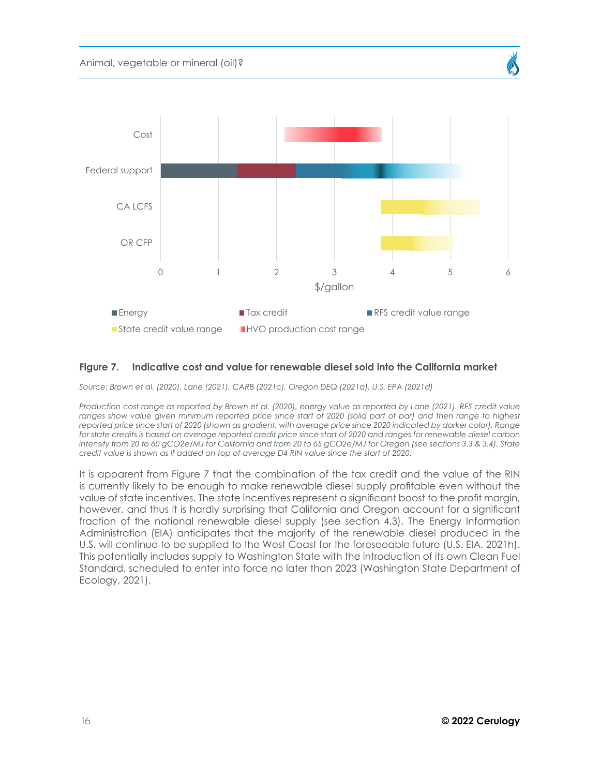



#### **Figure 7. Indicative cost and value for renewable diesel sold into the California market**

*Source: Brown et al. (2020), Lane (2021), CARB (2021c), Oregon DEQ (2021a), U.S. EPA (2021d)*

*Production cost range as reported by Brown et al. (2020), energy value as reported by Lane (2021). RFS credit value*  ranges show value given minimum reported price since start of 2020 (solid part of bar) and then range to highest reported price since start of 2020 (shown as gradient, with average price since 2020 indicated by darker color). Range for state credits is based on average reported credit price since start of 2020 and ranges for renewable diesel carbon *intensity from 20 to 60 gCO2e/MJ for California and from 20 to 65 gCO2e/MJ for Oregon (see sections 3.3 & 3.4). State credit value is shown as if added on top of average D4 RIN value since the start of 2020.* 

It is apparent from Figure 7 that the combination of the tax credit and the value of the RIN is currently likely to be enough to make renewable diesel supply profitable even without the value of state incentives. The state incentives represent a significant boost to the profit margin, however, and thus it is hardly surprising that California and Oregon account for a significant fraction of the national renewable diesel supply (see section 4.3). The Energy Information Administration (EIA) anticipates that the majority of the renewable diesel produced in the U.S. will continue to be supplied to the West Coast for the foreseeable future (U.S. EIA, 2021h). This potentially includes supply to Washington State with the introduction of its own Clean Fuel Standard, scheduled to enter into force no later than 2023 (Washington State Department of Ecology, 2021).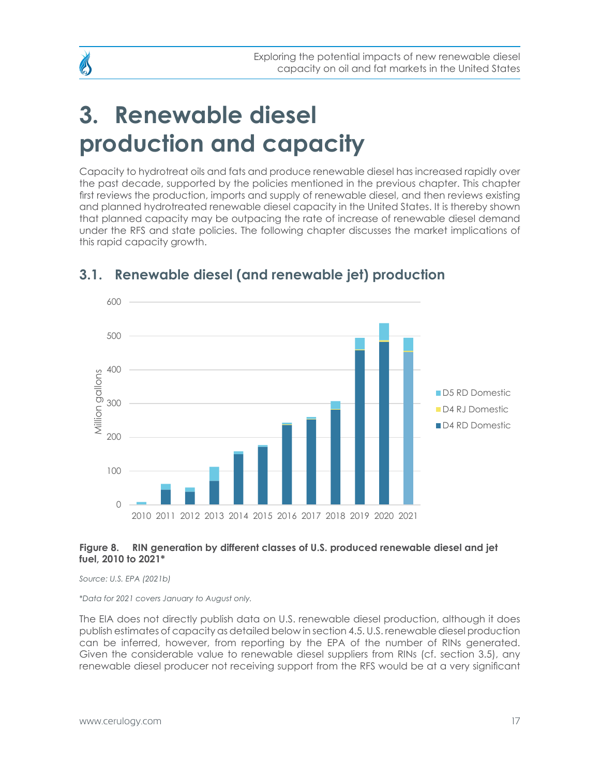## <span id="page-16-0"></span>**3. Renewable diesel production and capacity**

Capacity to hydrotreat oils and fats and produce renewable diesel has increased rapidly over the past decade, supported by the policies mentioned in the previous chapter. This chapter first reviews the production, imports and supply of renewable diesel, and then reviews existing and planned hydrotreated renewable diesel capacity in the United States. It is thereby shown that planned capacity may be outpacing the rate of increase of renewable diesel demand under the RFS and state policies. The following chapter discusses the market implications of this rapid capacity growth.



## **3.1. Renewable diesel (and renewable jet) production**

### <span id="page-16-1"></span>**Figure 8. RIN generation by different classes of U.S. produced renewable diesel and jet fuel, 2010 to 2021\***

*Source: U.S. EPA (2021b)*

*\*Data for 2021 covers January to August only.* 

The EIA does not directly publish data on U.S. renewable diesel production, although it does publish estimates of capacity as detailed below in section 4.5. U.S. renewable diesel production can be inferred, however, from reporting by the EPA of the number of RINs generated. Given the considerable value to renewable diesel suppliers from RINs (cf. section 3.5), any renewable diesel producer not receiving support from the RFS would be at a very significant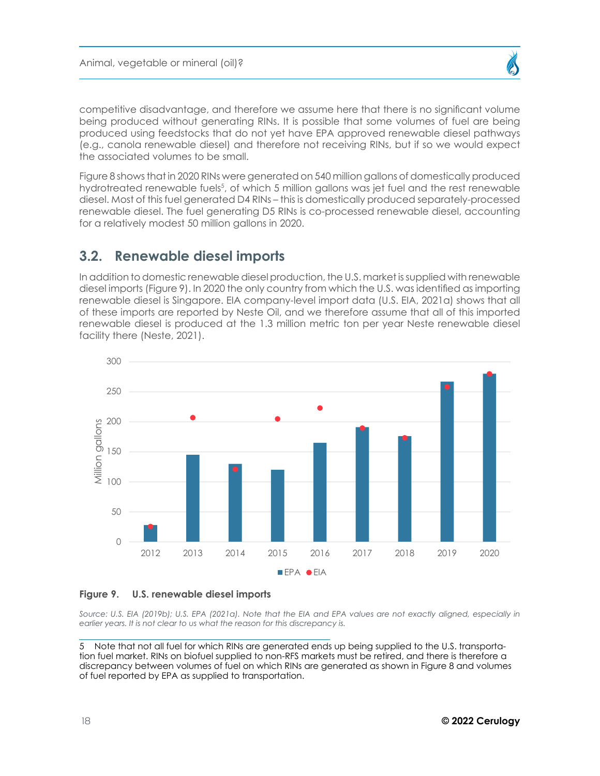<span id="page-17-0"></span>

Figure 8 shows that in 2020 RINs were generated on 540 million gallons of domestically produced hydrotreated renewable fuels<sup>5</sup>, of which 5 million gallons was jet fuel and the rest renewable diesel. Most of this fuel generated D4 RINs – this is domestically produced separately-processed renewable diesel. The fuel generating D5 RINs is co-processed renewable diesel, accounting for a relatively modest 50 million gallons in 2020.

## **3.2. Renewable diesel imports**

In addition to domestic renewable diesel production, the U.S. market is supplied with renewable diesel imports (Figure 9). In 2020 the only country from which the U.S. was identified as importing renewable diesel is Singapore. EIA company-level import data (U.S. EIA, 2021a) shows that all of these imports are reported by Neste Oil, and we therefore assume that all of this imported renewable diesel is produced at the 1.3 million metric ton per year Neste renewable diesel facility there (Neste, 2021).



**Figure 9. U.S. renewable diesel imports** 

Source: U.S. EIA (2019b); U.S. EPA (2021a). Note that the EIA and EPA values are not exactly aligned, especially in *earlier years. It is not clear to us what the reason for this discrepancy is.* 

Note that not all fuel for which RINs are generated ends up being supplied to the U.S. transportation fuel market. RINs on biofuel supplied to non-RFS markets must be retired, and there is therefore a discrepancy between volumes of fuel on which RINs are generated as shown in [Figure 8](#page-16-1) and volumes of fuel reported by EPA as supplied to transportation.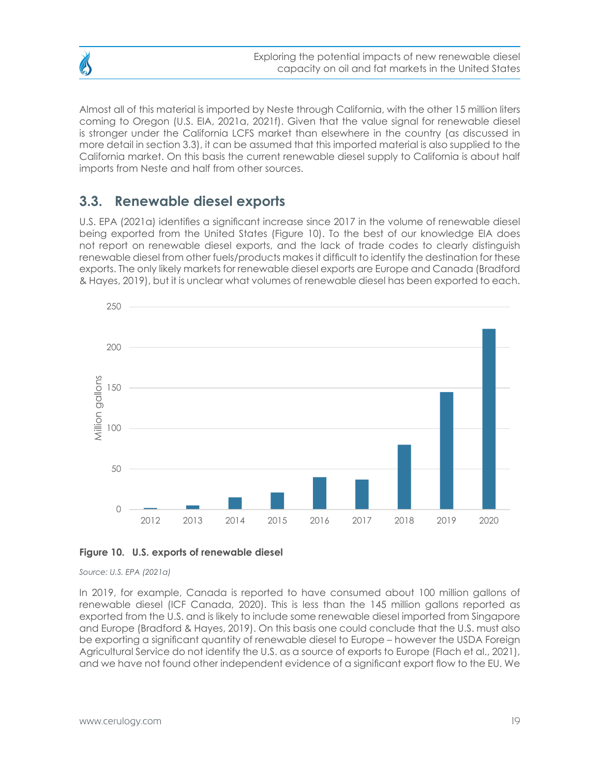

<span id="page-18-0"></span>Almost all of this material is imported by Neste through California, with the other 15 million liters coming to Oregon (U.S. EIA, 2021a, 2021f). Given that the value signal for renewable diesel is stronger under the California LCFS market than elsewhere in the country (as discussed in more detail in section 3.3), it can be assumed that this imported material is also supplied to the California market. On this basis the current renewable diesel supply to California is about half imports from Neste and half from other sources.

## **3.3. Renewable diesel exports**

U.S. EPA (2021a) identifies a significant increase since 2017 in the volume of renewable diesel being exported from the United States (Figure 10). To the best of our knowledge EIA does not report on renewable diesel exports, and the lack of trade codes to clearly distinguish renewable diesel from other fuels/products makes it difficult to identify the destination for these exports. The only likely markets for renewable diesel exports are Europe and Canada (Bradford & Hayes, 2019), but it is unclear what volumes of renewable diesel has been exported to each.



#### **Figure 10. U.S. exports of renewable diesel**

#### *Source: U.S. EPA (2021a)*

In 2019, for example, Canada is reported to have consumed about 100 million gallons of renewable diesel (ICF Canada, 2020). This is less than the 145 million gallons reported as exported from the U.S. and is likely to include some renewable diesel imported from Singapore and Europe (Bradford & Hayes, 2019). On this basis one could conclude that the U.S. must also be exporting a significant quantity of renewable diesel to Europe – however the USDA Foreign Agricultural Service do not identify the U.S. as a source of exports to Europe (Flach et al., 2021), and we have not found other independent evidence of a significant export flow to the EU. We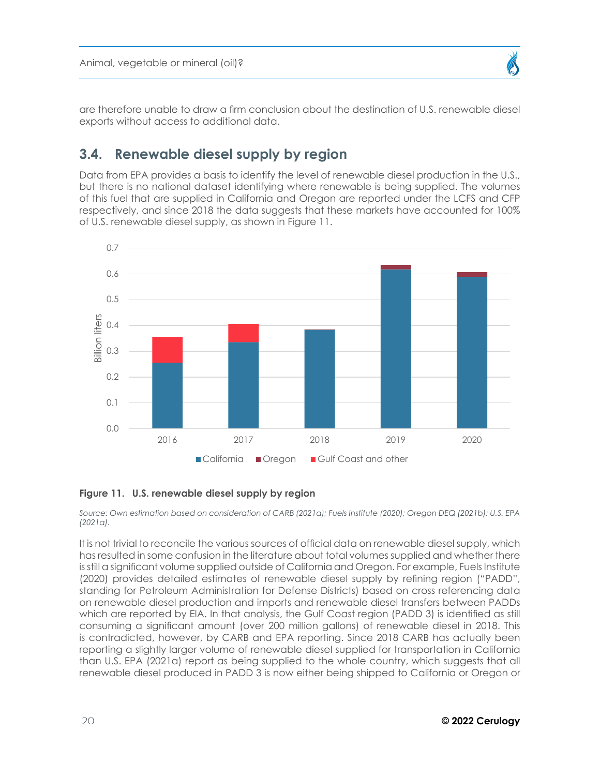

<span id="page-19-0"></span>are therefore unable to draw a firm conclusion about the destination of U.S. renewable diesel exports without access to additional data.

## **3.4. Renewable diesel supply by region**

Data from EPA provides a basis to identify the level of renewable diesel production in the U.S., but there is no national dataset identifying where renewable is being supplied. The volumes of this fuel that are supplied in California and Oregon are reported under the LCFS and CFP respectively, and since 2018 the data suggests that these markets have accounted for 100% of U.S. renewable diesel supply, as shown in Figure 11.



### **Figure 11. U.S. renewable diesel supply by region**

*Source: Own estimation based on consideration of CARB (2021a); Fuels Institute (2020); Oregon DEQ (2021b); U.S. EPA (2021a).* 

It is not trivial to reconcile the various sources of official data on renewable diesel supply, which has resulted in some confusion in the literature about total volumes supplied and whether there is still a significant volume supplied outside of California and Oregon. For example, Fuels Institute (2020) provides detailed estimates of renewable diesel supply by refining region ("PADD", standing for Petroleum Administration for Defense Districts) based on cross referencing data on renewable diesel production and imports and renewable diesel transfers between PADDs which are reported by EIA. In that analysis, the Gulf Coast region (PADD 3) is identified as still consuming a significant amount (over 200 million gallons) of renewable diesel in 2018. This is contradicted, however, by CARB and EPA reporting. Since 2018 CARB has actually been reporting a slightly larger volume of renewable diesel supplied for transportation in California than U.S. EPA (2021a) report as being supplied to the whole country, which suggests that all renewable diesel produced in PADD 3 is now either being shipped to California or Oregon or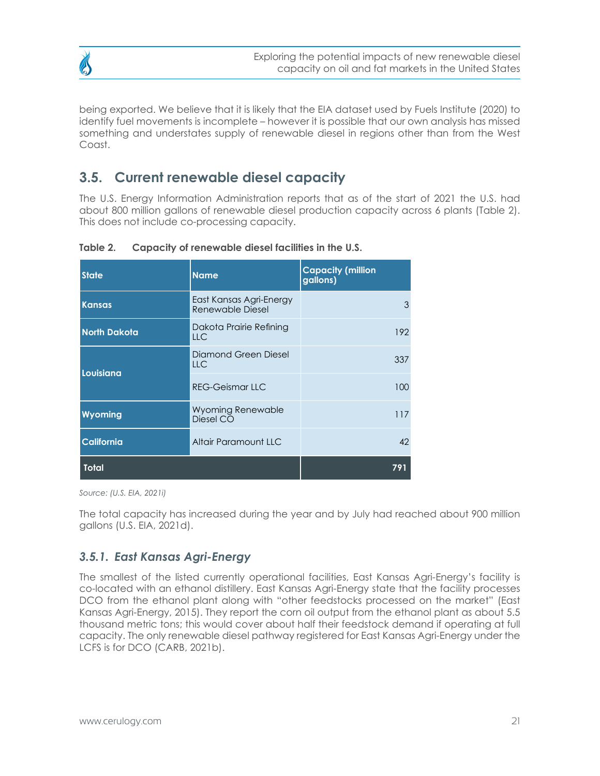<span id="page-20-0"></span>

being exported. We believe that it is likely that the EIA dataset used by Fuels Institute (2020) to identify fuel movements is incomplete – however it is possible that our own analysis has missed something and understates supply of renewable diesel in regions other than from the West Coast.

## **3.5. Current renewable diesel capacity**

The U.S. Energy Information Administration reports that as of the start of 2021 the U.S. had about 800 million gallons of renewable diesel production capacity across 6 plants (Table 2). This does not include co-processing capacity.

| <b>State</b>        | <b>Name</b>                                 | <b>Capacity (million</b><br>gallons) |
|---------------------|---------------------------------------------|--------------------------------------|
| <b>Kansas</b>       | East Kansas Agri-Energy<br>Renewable Diesel | 3                                    |
| <b>North Dakota</b> | Dakota Prairie Refining<br><b>LLC</b>       | 192                                  |
|                     | Diamond Green Diesel<br><b>LLC</b>          | 337                                  |
| Louisiana           | <b>REG-Geismar LLC</b>                      | 100                                  |
| Wyoming             | Wyoming Renewable<br>Diesel CO              | 117                                  |
| <b>California</b>   | Altair Paramount LLC                        | 42                                   |
| <b>Total</b>        | 791                                         |                                      |

**Table 2. Capacity of renewable diesel facilities in the U.S.** 

*Source: (U.S. EIA, 2021i)*

The total capacity has increased during the year and by July had reached about 900 million gallons (U.S. EIA, 2021d).

## *3.5.1. East Kansas Agri-Energy*

The smallest of the listed currently operational facilities, East Kansas Agri-Energy's facility is co-located with an ethanol distillery. East Kansas Agri-Energy state that the facility processes DCO from the ethanol plant along with "other feedstocks processed on the market" (East Kansas Agri-Energy, 2015). They report the corn oil output from the ethanol plant as about 5.5 thousand metric tons; this would cover about half their feedstock demand if operating at full capacity. The only renewable diesel pathway registered for East Kansas Agri-Energy under the LCFS is for DCO (CARB, 2021b).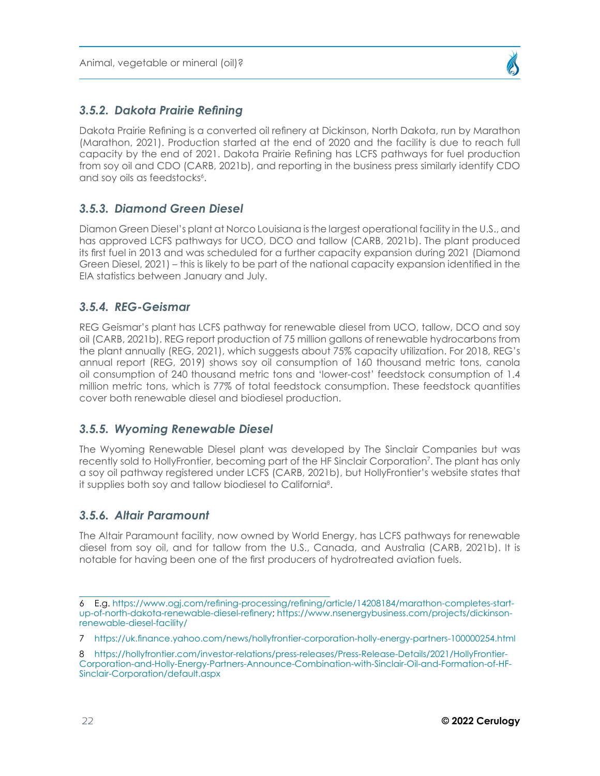### <span id="page-21-0"></span>*3.5.2. Dakota Prairie Refining*

Dakota Prairie Refining is a converted oil refinery at Dickinson, North Dakota, run by Marathon (Marathon, 2021). Production started at the end of 2020 and the facility is due to reach full capacity by the end of 2021. Dakota Prairie Refining has LCFS pathways for fuel production from soy oil and CDO (CARB, 2021b), and reporting in the business press similarly identify CDO and soy oils as feedstocks<sup>6</sup>.

### *3.5.3. Diamond Green Diesel*

Diamon Green Diesel's plant at Norco Louisiana is the largest operational facility in the U.S., and has approved LCFS pathways for UCO, DCO and tallow (CARB, 2021b). The plant produced its first fuel in 2013 and was scheduled for a further capacity expansion during 2021 (Diamond Green Diesel, 2021) – this is likely to be part of the national capacity expansion identified in the EIA statistics between January and July.

### *3.5.4. REG-Geismar*

REG Geismar's plant has LCFS pathway for renewable diesel from UCO, tallow, DCO and soy oil (CARB, 2021b). REG report production of 75 million gallons of renewable hydrocarbons from the plant annually (REG, 2021), which suggests about 75% capacity utilization. For 2018, REG's annual report (REG, 2019) shows soy oil consumption of 160 thousand metric tons, canola oil consumption of 240 thousand metric tons and 'lower-cost' feedstock consumption of 1.4 million metric tons, which is 77% of total feedstock consumption. These feedstock quantities cover both renewable diesel and biodiesel production.

### *3.5.5. Wyoming Renewable Diesel*

The Wyoming Renewable Diesel plant was developed by The Sinclair Companies but was recently sold to HollyFrontier, becoming part of the HF Sinclair Corporation<sup>7</sup> . The plant has only a soy oil pathway registered under LCFS (CARB, 2021b), but HollyFrontier's website states that it supplies both soy and tallow biodiesel to California<sup>8</sup>.

## *3.5.6. Altair Paramount*

The Altair Paramount facility, now owned by World Energy, has LCFS pathways for renewable diesel from soy oil, and for tallow from the U.S., Canada, and Australia (CARB, 2021b). It is notable for having been one of the first producers of hydrotreated aviation fuels.

<sup>6</sup> E.g. [https://www.ogj.com/refining-processing/refining/article/14208184/marathon-completes-start](https://www.ogj.com/refining-processing/refining/article/14208184/marathon-completes-startup-of-north-dakota-renewable-diesel-refinery)[up-of-north-dakota-renewable-diesel-refinery;](https://www.ogj.com/refining-processing/refining/article/14208184/marathon-completes-startup-of-north-dakota-renewable-diesel-refinery) [https://www.nsenergybusiness.com/projects/dickinson](https://www.nsenergybusiness.com/projects/dickinson-renewable-diesel-facility/)[renewable-diesel-facility/](https://www.nsenergybusiness.com/projects/dickinson-renewable-diesel-facility/)

<sup>7</sup> <https://uk.finance.yahoo.com/news/hollyfrontier-corporation-holly-energy-partners-100000254.html>

<sup>8</sup> [https://hollyfrontier.com/investor-relations/press-releases/Press-Release-Details/2021/HollyFrontier-](https://hollyfrontier.com/investor-relations/press-releases/Press-Release-Details/2021/HollyFrontier-Corporation-and-Holly-Energy-Partners-Announce-Combination-with-Sinclair-Oil-and-Formation-of-HF-Sinclair-Corporation/default.aspx)[Corporation-and-Holly-Energy-Partners-Announce-Combination-with-Sinclair-Oil-and-Formation-of-HF-](https://hollyfrontier.com/investor-relations/press-releases/Press-Release-Details/2021/HollyFrontier-Corporation-and-Holly-Energy-Partners-Announce-Combination-with-Sinclair-Oil-and-Formation-of-HF-Sinclair-Corporation/default.aspx)[Sinclair-Corporation/default.aspx](https://hollyfrontier.com/investor-relations/press-releases/Press-Release-Details/2021/HollyFrontier-Corporation-and-Holly-Energy-Partners-Announce-Combination-with-Sinclair-Oil-and-Formation-of-HF-Sinclair-Corporation/default.aspx)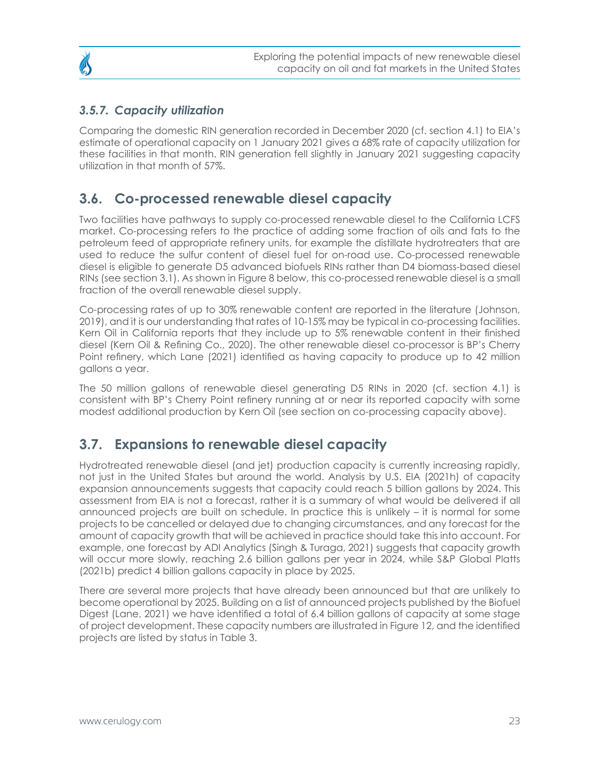## <span id="page-22-0"></span>*3.5.7. Capacity utilization*

Comparing the domestic RIN generation recorded in December 2020 (cf. section 4.1) to EIA's estimate of operational capacity on 1 January 2021 gives a 68% rate of capacity utilization for these facilities in that month. RIN generation fell slightly in January 2021 suggesting capacity utilization in that month of 57%.

## **3.6. Co-processed renewable diesel capacity**

Two facilities have pathways to supply co-processed renewable diesel to the California LCFS market. Co-processing refers to the practice of adding some fraction of oils and fats to the petroleum feed of appropriate refinery units, for example the distillate hydrotreaters that are used to reduce the sulfur content of diesel fuel for on-road use. Co-processed renewable diesel is eligible to generate D5 advanced biofuels RINs rather than D4 biomass-based diesel RINs (see section 3.1). As shown in Figure 8 below, this co-processed renewable diesel is a small fraction of the overall renewable diesel supply.

Co-processing rates of up to 30% renewable content are reported in the literature (Johnson, 2019), and it is our understanding that rates of 10-15% may be typical in co-processing facilities. Kern Oil in California reports that they include up to 5% renewable content in their finished diesel (Kern Oil & Refining Co., 2020). The other renewable diesel co-processor is BP's Cherry Point refinery, which Lane (2021) identified as having capacity to produce up to 42 million gallons a year.

The 50 million gallons of renewable diesel generating D5 RINs in 2020 (cf. section 4.1) is consistent with BP's Cherry Point refinery running at or near its reported capacity with some modest additional production by Kern Oil (see section on co-processing capacity above).

## **3.7. Expansions to renewable diesel capacity**

Hydrotreated renewable diesel (and jet) production capacity is currently increasing rapidly, not just in the United States but around the world. Analysis by U.S. EIA (2021h) of capacity expansion announcements suggests that capacity could reach 5 billion gallons by 2024. This assessment from EIA is not a forecast, rather it is a summary of what would be delivered if all announced projects are built on schedule. In practice this is unlikely – it is normal for some projects to be cancelled or delayed due to changing circumstances, and any forecast for the amount of capacity growth that will be achieved in practice should take this into account. For example, one forecast by ADI Analytics (Singh & Turaga, 2021) suggests that capacity growth will occur more slowly, reaching 2.6 billion gallons per year in 2024, while S&P Global Platts (2021b) predict 4 billion gallons capacity in place by 2025.

There are several more projects that have already been announced but that are unlikely to become operational by 2025. Building on a list of announced projects published by the Biofuel Digest (Lane, 2021) we have identified a total of 6.4 billion gallons of capacity at some stage of project development. These capacity numbers are illustrated in Figure 12, and the identified projects are listed by status in Table 3.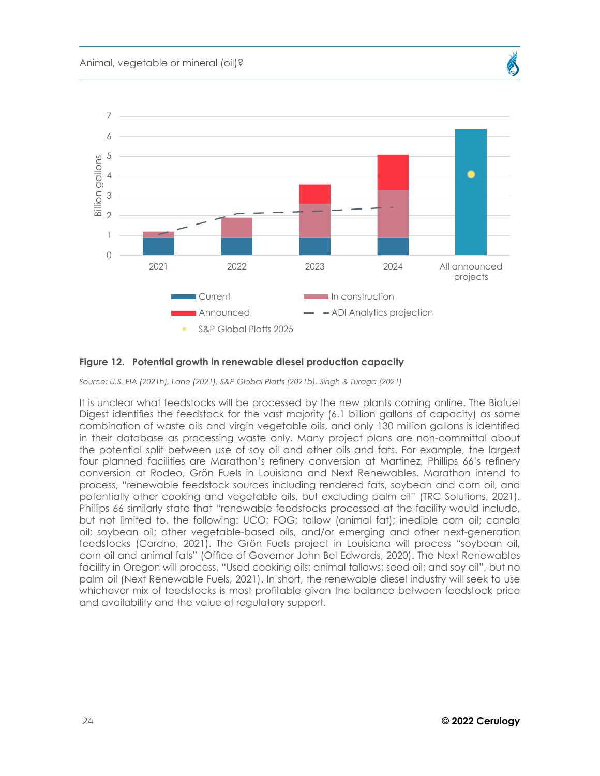

### **Figure 12. Potential growth in renewable diesel production capacity**

*Source: U.S. EIA (2021h), Lane (2021), S&P Global Platts (2021b), Singh & Turaga (2021)*

It is unclear what feedstocks will be processed by the new plants coming online. The Biofuel Digest identifies the feedstock for the vast majority (6.1 billion gallons of capacity) as some combination of waste oils and virgin vegetable oils, and only 130 million gallons is identified in their database as processing waste only. Many project plans are non-committal about the potential split between use of soy oil and other oils and fats. For example, the largest four planned facilities are Marathon's refinery conversion at Martinez, Phillips 66's refinery conversion at Rodeo, Grön Fuels in Louisiana and Next Renewables. Marathon intend to process, "renewable feedstock sources including rendered fats, soybean and corn oil, and potentially other cooking and vegetable oils, but excluding palm oil" (TRC Solutions, 2021). Phillips 66 similarly state that "renewable feedstocks processed at the facility would include, but not limited to, the following: UCO; FOG; tallow (animal fat); inedible corn oil; canola oil; soybean oil; other vegetable-based oils, and/or emerging and other next-generation feedstocks (Cardno, 2021). The Grön Fuels project in Louisiana will process "soybean oil, corn oil and animal fats" (Office of Governor John Bel Edwards, 2020). The Next Renewables facility in Oregon will process, "Used cooking oils; animal tallows; seed oil; and soy oil", but no palm oil (Next Renewable Fuels, 2021). In short, the renewable diesel industry will seek to use whichever mix of feedstocks is most profitable given the balance between feedstock price and availability and the value of regulatory support.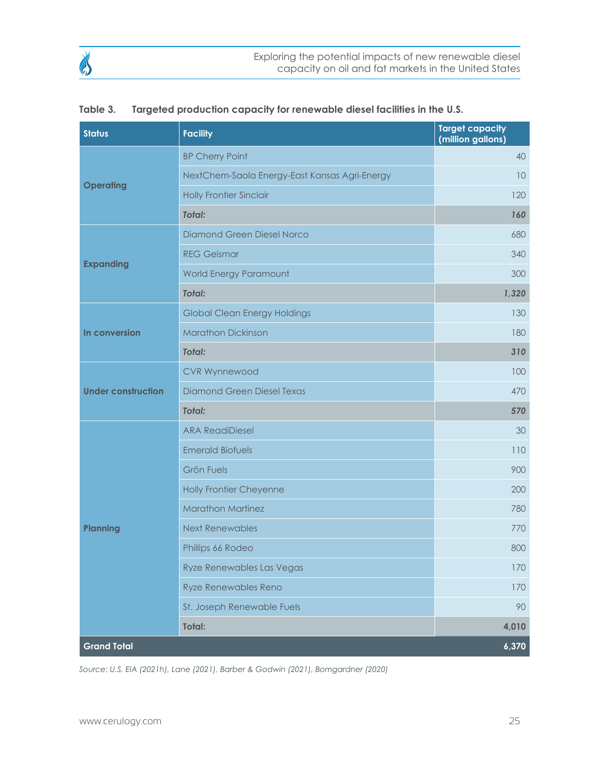| <b>Status</b>             | <b>Facility</b>                               | <b>Target capacity</b><br>(million gallons) |
|---------------------------|-----------------------------------------------|---------------------------------------------|
|                           | <b>BP Cherry Point</b>                        | 40                                          |
|                           | NextChem-Saola Energy-East Kansas Agri-Energy | 10                                          |
| <b>Operating</b>          | <b>Holly Frontier Sinclair</b>                | 120                                         |
|                           | <b>Total:</b>                                 | 160                                         |
|                           | <b>Diamond Green Diesel Norco</b>             | 680                                         |
|                           | <b>REG Geismar</b>                            | 340                                         |
| <b>Expanding</b>          | World Energy Paramount                        | 300                                         |
|                           | <b>Total:</b>                                 | 1,320                                       |
|                           | <b>Global Clean Energy Holdings</b>           | 130                                         |
| In conversion             | <b>Marathon Dickinson</b>                     | 180                                         |
|                           | <b>Total:</b>                                 | 310                                         |
|                           | <b>CVR Wynnewood</b>                          | 100                                         |
| <b>Under construction</b> | <b>Diamond Green Diesel Texas</b>             | 470                                         |
|                           | <b>Total:</b>                                 | 570                                         |
|                           | <b>ARA ReadiDiesel</b>                        | 30                                          |
|                           | <b>Emerald Biofuels</b>                       | 110                                         |
|                           | <b>Grön Fuels</b>                             | 900                                         |
|                           | <b>Holly Frontier Cheyenne</b>                | 200                                         |
|                           | <b>Marathon Martinez</b>                      | 780                                         |
| <b>Planning</b>           | <b>Next Renewables</b>                        | 770                                         |
|                           | Phillips 66 Rodeo                             | 800                                         |
|                           | Ryze Renewables Las Vegas                     | $170\,$                                     |
|                           | <b>Ryze Renewables Reno</b>                   | 170                                         |
|                           | St. Joseph Renewable Fuels                    | 90                                          |
|                           | Total:                                        | 4,010                                       |
| <b>Grand Total</b>        |                                               | 6,370                                       |

| Table 3. |  | Targeted production capacity for renewable diesel facilities in the U.S. |
|----------|--|--------------------------------------------------------------------------|
|          |  |                                                                          |

*Source: U.S. EIA (2021h), Lane (2021), Barber & Godwin (2021), Bomgardner (2020)*

B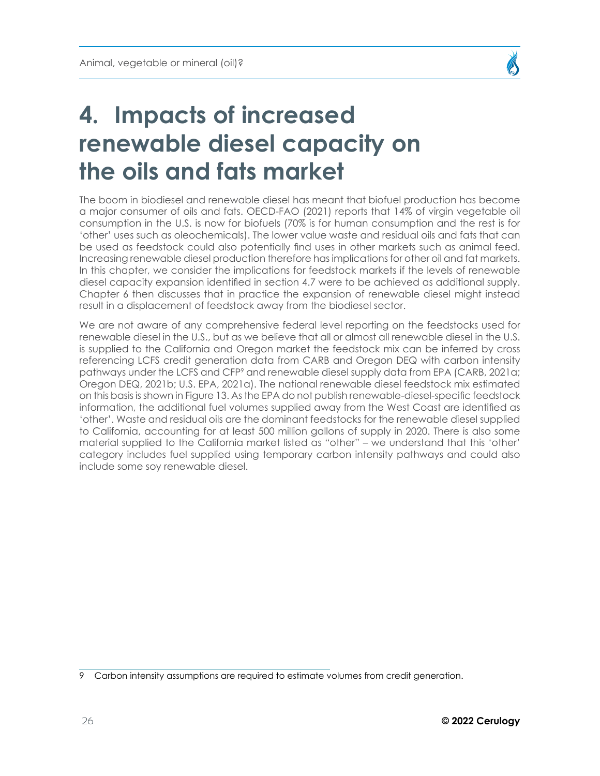

## <span id="page-25-1"></span><span id="page-25-0"></span>**4. Impacts of increased renewable diesel capacity on the oils and fats market**

The boom in biodiesel and renewable diesel has meant that biofuel production has become a major consumer of oils and fats. OECD-FAO (2021) reports that 14% of virgin vegetable oil consumption in the U.S. is now for biofuels (70% is for human consumption and the rest is for 'other' uses such as oleochemicals). The lower value waste and residual oils and fats that can be used as feedstock could also potentially find uses in other markets such as animal feed. Increasing renewable diesel production therefore has implications for other oil and fat markets. In this chapter, we consider the implications for feedstock markets if the levels of renewable diesel capacity expansion identified in section 4.7 were to be achieved as additional supply. Chapter 6 then discusses that in practice the expansion of renewable diesel might instead result in a displacement of feedstock away from the biodiesel sector.

We are not aware of any comprehensive federal level reporting on the feedstocks used for renewable diesel in the U.S., but as we believe that all or almost all renewable diesel in the U.S. is supplied to the California and Oregon market the feedstock mix can be inferred by cross referencing LCFS credit generation data from CARB and Oregon DEQ with carbon intensity pathways under the LCFS and CFP<sup>9</sup> and renewable diesel supply data from EPA (CARB, 2021a; Oregon DEQ, 2021b; U.S. EPA, 2021a). The national renewable diesel feedstock mix estimated on this basis is shown in Figure 13. As the EPA do not publish renewable-diesel-specific feedstock information, the additional fuel volumes supplied away from the West Coast are identified as 'other'. Waste and residual oils are the dominant feedstocks for the renewable diesel supplied to California, accounting for at least 500 million gallons of supply in 2020. There is also some material supplied to the California market listed as "other" – we understand that this 'other' category includes fuel supplied using temporary carbon intensity pathways and could also include some soy renewable diesel.

<sup>9</sup> Carbon intensity assumptions are required to estimate volumes from credit generation.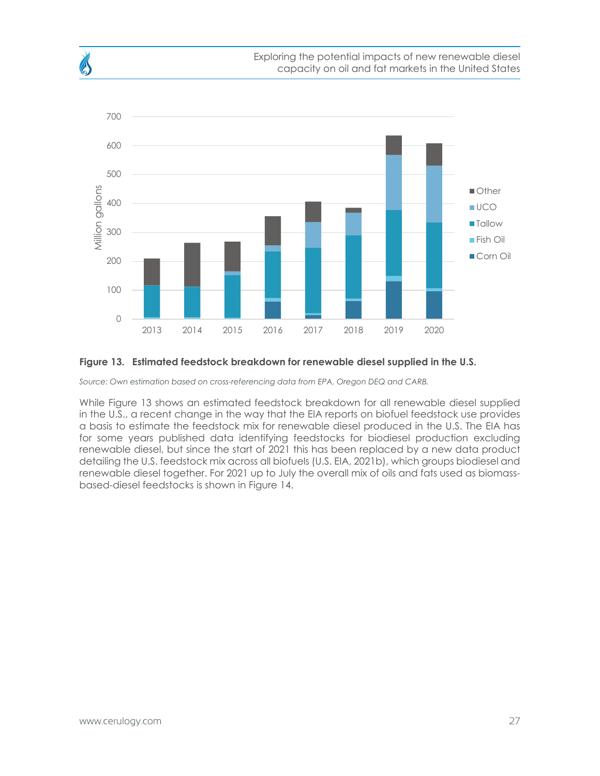

#### **Figure 13. Estimated feedstock breakdown for renewable diesel supplied in the U.S.**

*Source: Own estimation based on cross-referencing data from EPA, Oregon DEQ and CARB.* 

While Figure 13 shows an estimated feedstock breakdown for all renewable diesel supplied in the U.S., a recent change in the way that the EIA reports on biofuel feedstock use provides a basis to estimate the feedstock mix for renewable diesel produced in the U.S. The EIA has for some years published data identifying feedstocks for biodiesel production excluding renewable diesel, but since the start of 2021 this has been replaced by a new data product detailing the U.S. feedstock mix across all biofuels (U.S. EIA, 2021b), which groups biodiesel and renewable diesel together. For 2021 up to July the overall mix of oils and fats used as biomassbased-diesel feedstocks is shown in Figure 14.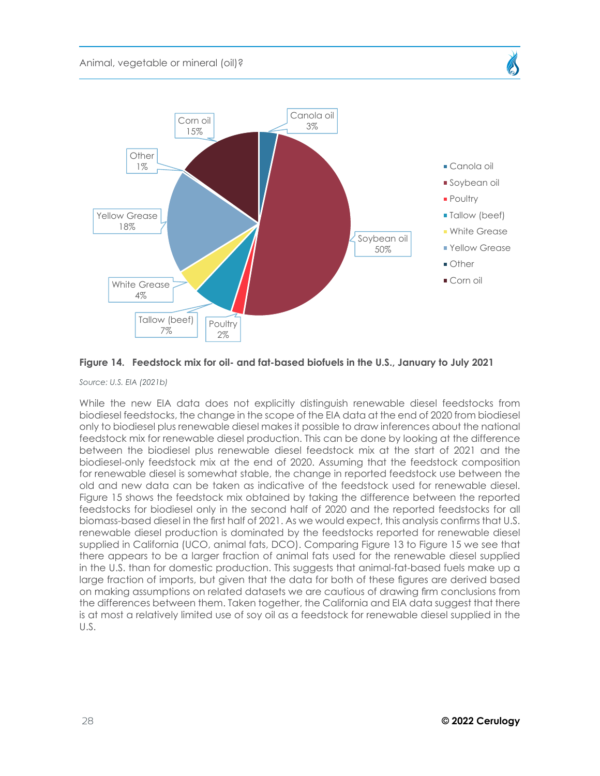



*Source: U.S. EIA (2021b)*

While the new EIA data does not explicitly distinguish renewable diesel feedstocks from biodiesel feedstocks, the change in the scope of the EIA data at the end of 2020 from biodiesel only to biodiesel plus renewable diesel makes it possible to draw inferences about the national feedstock mix for renewable diesel production. This can be done by looking at the difference between the biodiesel plus renewable diesel feedstock mix at the start of 2021 and the biodiesel-only feedstock mix at the end of 2020. Assuming that the feedstock composition for renewable diesel is somewhat stable, the change in reported feedstock use between the old and new data can be taken as indicative of the feedstock used for renewable diesel. Figure 15 shows the feedstock mix obtained by taking the difference between the reported feedstocks for biodiesel only in the second half of 2020 and the reported feedstocks for all biomass-based diesel in the first half of 2021. As we would expect, this analysis confirms that U.S. renewable diesel production is dominated by the feedstocks reported for renewable diesel supplied in California (UCO, animal fats, DCO). Comparing Figure 13 to Figure 15 we see that there appears to be a larger fraction of animal fats used for the renewable diesel supplied in the U.S. than for domestic production. This suggests that animal-fat-based fuels make up a large fraction of imports, but given that the data for both of these figures are derived based on making assumptions on related datasets we are cautious of drawing firm conclusions from the differences between them. Taken together, the California and EIA data suggest that there is at most a relatively limited use of soy oil as a feedstock for renewable diesel supplied in the U.S.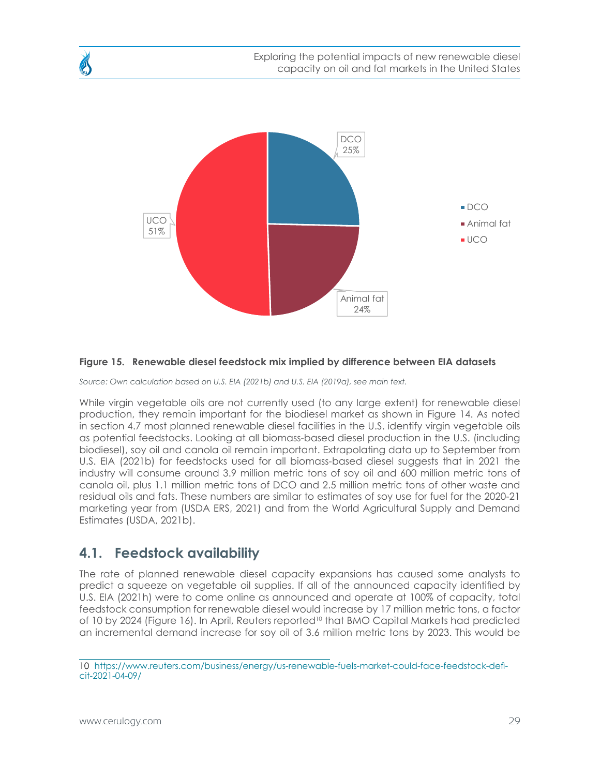<span id="page-28-0"></span>

#### **Figure 15. Renewable diesel feedstock mix implied by difference between EIA datasets**

*Source: Own calculation based on U.S. EIA (2021b) and U.S. EIA (2019a), see main text.* 

While virgin vegetable oils are not currently used (to any large extent) for renewable diesel production, they remain important for the biodiesel market as shown in Figure 14. As noted in section 4.7 most planned renewable diesel facilities in the U.S. identify virgin vegetable oils as potential feedstocks. Looking at all biomass-based diesel production in the U.S. (including biodiesel), soy oil and canola oil remain important. Extrapolating data up to September from U.S. EIA (2021b) for feedstocks used for all biomass-based diesel suggests that in 2021 the industry will consume around 3.9 million metric tons of soy oil and 600 million metric tons of canola oil, plus 1.1 million metric tons of DCO and 2.5 million metric tons of other waste and residual oils and fats. These numbers are similar to estimates of soy use for fuel for the 2020-21 marketing year from (USDA ERS, 2021) and from the World Agricultural Supply and Demand Estimates (USDA, 2021b).

## **4.1. Feedstock availability**

The rate of planned renewable diesel capacity expansions has caused some analysts to predict a squeeze on vegetable oil supplies. If all of the announced capacity identified by U.S. EIA (2021h) were to come online as announced and operate at 100% of capacity, total feedstock consumption for renewable diesel would increase by 17 million metric tons, a factor of 10 by 2024 (Figure 16). In April, Reuters reported<sup>10</sup> that BMO Capital Markets had predicted an incremental demand increase for soy oil of 3.6 million metric tons by 2023. This would be

<sup>10</sup> [https://www.reuters.com/business/energy/us-renewable-fuels-market-could-face-feedstock-defi](https://www.reuters.com/business/energy/us-renewable-fuels-market-could-face-feedstock-deficit-2021-04-09/)[cit-2021-04-09/](https://www.reuters.com/business/energy/us-renewable-fuels-market-could-face-feedstock-deficit-2021-04-09/)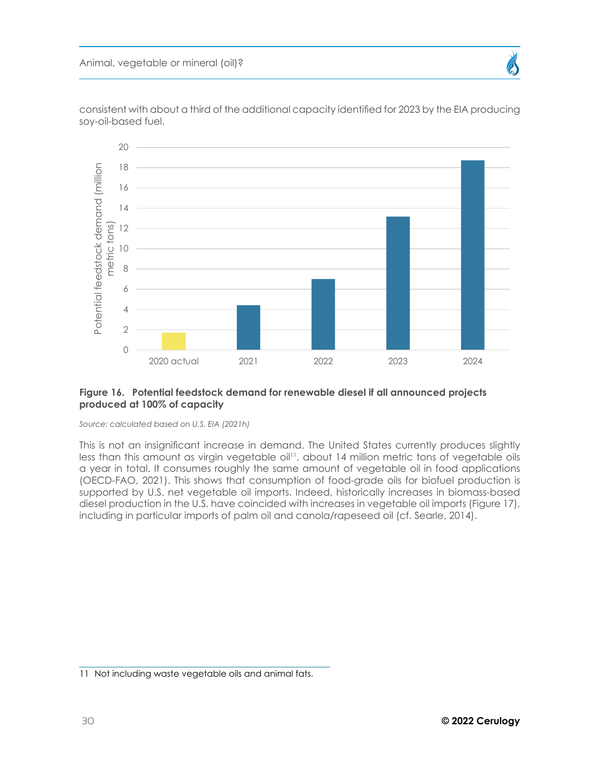

consistent with about a third of the additional capacity identified for 2023 by the EIA producing soy-oil-based fuel.

#### **Figure 16. Potential feedstock demand for renewable diesel if all announced projects produced at 100% of capacity**

*Source: calculated based on U.S. EIA (2021h)* 

This is not an insignificant increase in demand. The United States currently produces slightly less than this amount as virgin vegetable oil<sup>11</sup>, about 14 million metric tons of vegetable oils a year in total. It consumes roughly the same amount of vegetable oil in food applications (OECD-FAO, 2021). This shows that consumption of food-grade oils for biofuel production is supported by U.S. net vegetable oil imports. Indeed, historically increases in biomass-based diesel production in the U.S. have coincided with increases in vegetable oil imports (Figure 17), including in particular imports of palm oil and canola/rapeseed oil (cf. Searle, 2014).

<sup>11</sup> Not including waste vegetable oils and animal fats.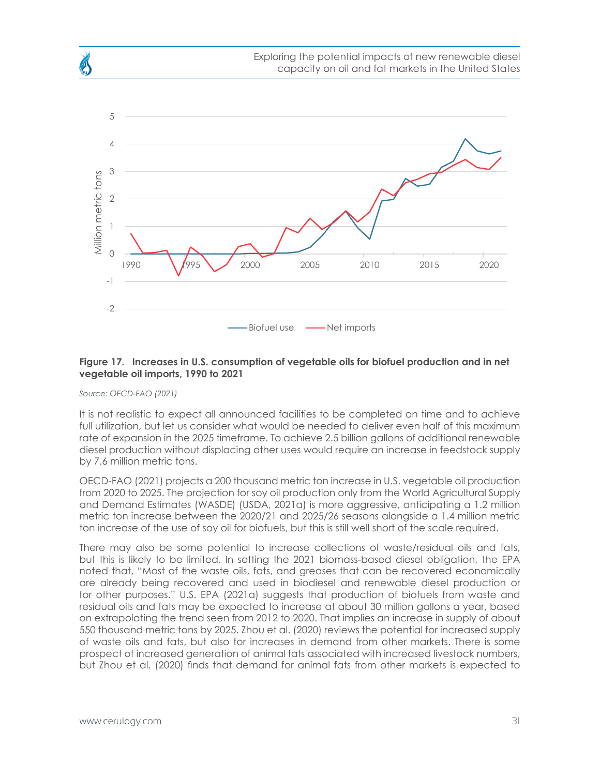

#### **Figure 17. Increases in U.S. consumption of vegetable oils for biofuel production and in net vegetable oil imports, 1990 to 2021**

*Source: OECD-FAO (2021)*

It is not realistic to expect all announced facilities to be completed on time and to achieve full utilization, but let us consider what would be needed to deliver even half of this maximum rate of expansion in the 2025 timeframe. To achieve 2.5 billion gallons of additional renewable diesel production without displacing other uses would require an increase in feedstock supply by 7.6 million metric tons.

OECD-FAO (2021) projects a 200 thousand metric ton increase in U.S. vegetable oil production from 2020 to 2025. The projection for soy oil production only from the World Agricultural Supply and Demand Estimates (WASDE) (USDA, 2021a) is more aggressive, anticipating a 1.2 million metric ton increase between the 2020/21 and 2025/26 seasons alongside a 1.4 million metric ton increase of the use of soy oil for biofuels, but this is still well short of the scale required.

There may also be some potential to increase collections of waste/residual oils and fats, but this is likely to be limited. In setting the 2021 biomass-based diesel obligation, the EPA noted that, "Most of the waste oils, fats, and greases that can be recovered economically are already being recovered and used in biodiesel and renewable diesel production or for other purposes." U.S. EPA (2021a) suggests that production of biofuels from waste and residual oils and fats may be expected to increase at about 30 million gallons a year, based on extrapolating the trend seen from 2012 to 2020. That implies an increase in supply of about 550 thousand metric tons by 2025. Zhou et al. (2020) reviews the potential for increased supply of waste oils and fats, but also for increases in demand from other markets. There is some prospect of increased generation of animal fats associated with increased livestock numbers, but Zhou et al. (2020) finds that demand for animal fats from other markets is expected to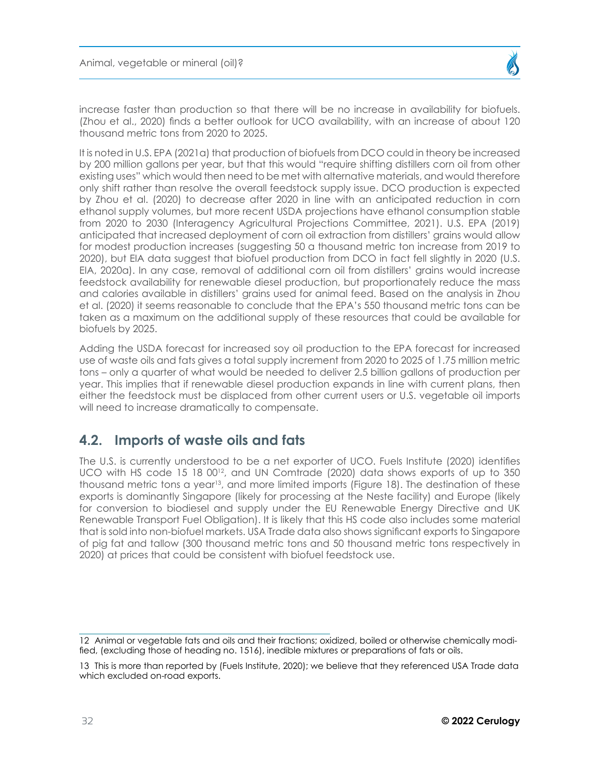<span id="page-31-0"></span>increase faster than production so that there will be no increase in availability for biofuels. (Zhou et al., 2020) finds a better outlook for UCO availability, with an increase of about 120 thousand metric tons from 2020 to 2025.

It is noted in U.S. EPA (2021a) that production of biofuels from DCO could in theory be increased by 200 million gallons per year, but that this would "require shifting distillers corn oil from other existing uses" which would then need to be met with alternative materials, and would therefore only shift rather than resolve the overall feedstock supply issue. DCO production is expected by Zhou et al. (2020) to decrease after 2020 in line with an anticipated reduction in corn ethanol supply volumes, but more recent USDA projections have ethanol consumption stable from 2020 to 2030 (Interagency Agricultural Projections Committee, 2021). U.S. EPA (2019) anticipated that increased deployment of corn oil extraction from distillers' grains would allow for modest production increases (suggesting 50 a thousand metric ton increase from 2019 to 2020), but EIA data suggest that biofuel production from DCO in fact fell slightly in 2020 (U.S. EIA, 2020a). In any case, removal of additional corn oil from distillers' grains would increase feedstock availability for renewable diesel production, but proportionately reduce the mass and calories available in distillers' grains used for animal feed. Based on the analysis in Zhou et al. (2020) it seems reasonable to conclude that the EPA's 550 thousand metric tons can be taken as a maximum on the additional supply of these resources that could be available for biofuels by 2025.

Adding the USDA forecast for increased soy oil production to the EPA forecast for increased use of waste oils and fats gives a total supply increment from 2020 to 2025 of 1.75 million metric tons – only a quarter of what would be needed to deliver 2.5 billion gallons of production per year. This implies that if renewable diesel production expands in line with current plans, then either the feedstock must be displaced from other current users or U.S. vegetable oil imports will need to increase dramatically to compensate.

## **4.2. Imports of waste oils and fats**

The U.S. is currently understood to be a net exporter of UCO. Fuels Institute (2020) identifies UCO with HS code 15 18  $00^{12}$ , and UN Comtrade (2020) data shows exports of up to 350 thousand metric tons a year<sup>13</sup>, and more limited imports (Figure 18). The destination of these exports is dominantly Singapore (likely for processing at the Neste facility) and Europe (likely for conversion to biodiesel and supply under the EU Renewable Energy Directive and UK Renewable Transport Fuel Obligation). It is likely that this HS code also includes some material that is sold into non-biofuel markets. USA Trade data also shows significant exports to Singapore of pig fat and tallow (300 thousand metric tons and 50 thousand metric tons respectively in 2020) at prices that could be consistent with biofuel feedstock use.

<sup>12</sup> Animal or vegetable fats and oils and their fractions; oxidized, boiled or otherwise chemically modified, (excluding those of heading no. 1516), inedible mixtures or preparations of fats or oils.

<sup>13</sup> This is more than reported by (Fuels Institute, 2020); we believe that they referenced USA Trade data which excluded on-road exports.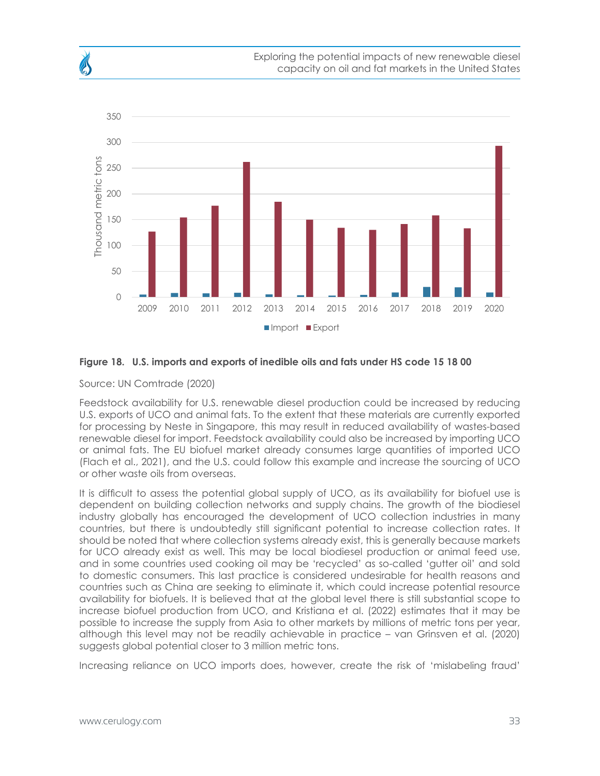

#### **Figure 18. U.S. imports and exports of inedible oils and fats under HS code 15 18 00**

#### Source: UN Comtrade (2020)

Feedstock availability for U.S. renewable diesel production could be increased by reducing U.S. exports of UCO and animal fats. To the extent that these materials are currently exported for processing by Neste in Singapore, this may result in reduced availability of wastes-based renewable diesel for import. Feedstock availability could also be increased by importing UCO or animal fats. The EU biofuel market already consumes large quantities of imported UCO (Flach et al., 2021), and the U.S. could follow this example and increase the sourcing of UCO or other waste oils from overseas.

It is difficult to assess the potential global supply of UCO, as its availability for biofuel use is dependent on building collection networks and supply chains. The growth of the biodiesel industry globally has encouraged the development of UCO collection industries in many countries, but there is undoubtedly still significant potential to increase collection rates. It should be noted that where collection systems already exist, this is generally because markets for UCO already exist as well. This may be local biodiesel production or animal feed use, and in some countries used cooking oil may be 'recycled' as so-called 'gutter oil' and sold to domestic consumers. This last practice is considered undesirable for health reasons and countries such as China are seeking to eliminate it, which could increase potential resource availability for biofuels. It is believed that at the global level there is still substantial scope to increase biofuel production from UCO, and Kristiana et al. (2022) estimates that it may be possible to increase the supply from Asia to other markets by millions of metric tons per year, although this level may not be readily achievable in practice – van Grinsven et al. (2020) suggests global potential closer to 3 million metric tons.

Increasing reliance on UCO imports does, however, create the risk of 'mislabeling fraud'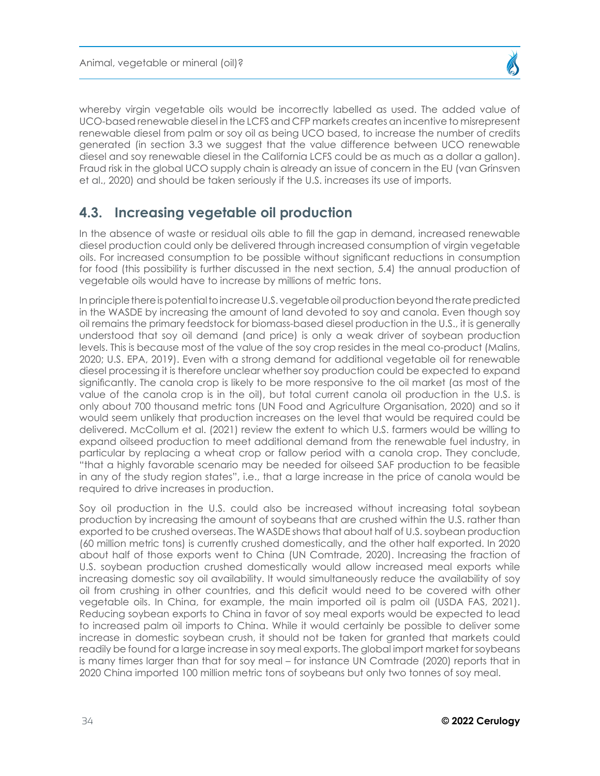<span id="page-33-0"></span>whereby virgin vegetable oils would be incorrectly labelled as used. The added value of UCO-based renewable diesel in the LCFS and CFP markets creates an incentive to misrepresent renewable diesel from palm or soy oil as being UCO based, to increase the number of credits generated (in section 3.3 we suggest that the value difference between UCO renewable diesel and soy renewable diesel in the California LCFS could be as much as a dollar a gallon). Fraud risk in the global UCO supply chain is already an issue of concern in the EU (van Grinsven et al., 2020) and should be taken seriously if the U.S. increases its use of imports.

## **4.3. Increasing vegetable oil production**

In the absence of waste or residual oils able to fill the gap in demand, increased renewable diesel production could only be delivered through increased consumption of virgin vegetable oils. For increased consumption to be possible without significant reductions in consumption for food (this possibility is further discussed in the next section, 5.4) the annual production of vegetable oils would have to increase by millions of metric tons.

In principle there is potential to increase U.S. vegetable oil production beyond the rate predicted in the WASDE by increasing the amount of land devoted to soy and canola. Even though soy oil remains the primary feedstock for biomass-based diesel production in the U.S., it is generally understood that soy oil demand (and price) is only a weak driver of soybean production levels. This is because most of the value of the soy crop resides in the meal co-product (Malins, 2020; U.S. EPA, 2019). Even with a strong demand for additional vegetable oil for renewable diesel processing it is therefore unclear whether soy production could be expected to expand significantly. The canola crop is likely to be more responsive to the oil market (as most of the value of the canola crop is in the oil), but total current canola oil production in the U.S. is only about 700 thousand metric tons (UN Food and Agriculture Organisation, 2020) and so it would seem unlikely that production increases on the level that would be required could be delivered. McCollum et al. (2021) review the extent to which U.S. farmers would be willing to expand oilseed production to meet additional demand from the renewable fuel industry, in particular by replacing a wheat crop or fallow period with a canola crop. They conclude, "that a highly favorable scenario may be needed for oilseed SAF production to be feasible in any of the study region states", i.e., that a large increase in the price of canola would be required to drive increases in production.

Soy oil production in the U.S. could also be increased without increasing total soybean production by increasing the amount of soybeans that are crushed within the U.S. rather than exported to be crushed overseas. The WASDE shows that about half of U.S. soybean production (60 million metric tons) is currently crushed domestically, and the other half exported. In 2020 about half of those exports went to China (UN Comtrade, 2020). Increasing the fraction of U.S. soybean production crushed domestically would allow increased meal exports while increasing domestic soy oil availability. It would simultaneously reduce the availability of soy oil from crushing in other countries, and this deficit would need to be covered with other vegetable oils. In China, for example, the main imported oil is palm oil (USDA FAS, 2021). Reducing soybean exports to China in favor of soy meal exports would be expected to lead to increased palm oil imports to China. While it would certainly be possible to deliver some increase in domestic soybean crush, it should not be taken for granted that markets could readily be found for a large increase in soy meal exports. The global import market for soybeans is many times larger than that for soy meal – for instance UN Comtrade (2020) reports that in 2020 China imported 100 million metric tons of soybeans but only two tonnes of soy meal.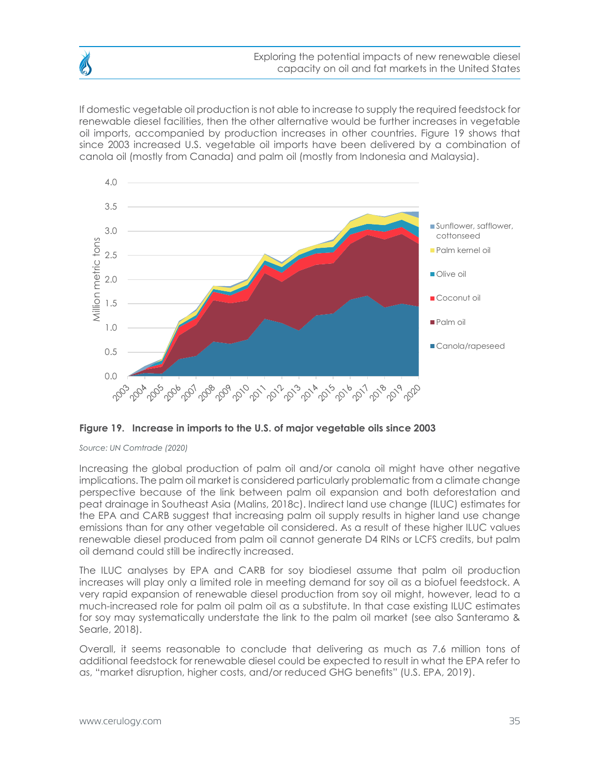If domestic vegetable oil production is not able to increase to supply the required feedstock for renewable diesel facilities, then the other alternative would be further increases in vegetable oil imports, accompanied by production increases in other countries. Figure 19 shows that since 2003 increased U.S. vegetable oil imports have been delivered by a combination of canola oil (mostly from Canada) and palm oil (mostly from Indonesia and Malaysia).



**Figure 19. Increase in imports to the U.S. of major vegetable oils since 2003**

*Source: UN Comtrade (2020)*

Increasing the global production of palm oil and/or canola oil might have other negative implications. The palm oil market is considered particularly problematic from a climate change perspective because of the link between palm oil expansion and both deforestation and peat drainage in Southeast Asia (Malins, 2018c). Indirect land use change (ILUC) estimates for the EPA and CARB suggest that increasing palm oil supply results in higher land use change emissions than for any other vegetable oil considered. As a result of these higher ILUC values renewable diesel produced from palm oil cannot generate D4 RINs or LCFS credits, but palm oil demand could still be indirectly increased.

The ILUC analyses by EPA and CARB for soy biodiesel assume that palm oil production increases will play only a limited role in meeting demand for soy oil as a biofuel feedstock. A very rapid expansion of renewable diesel production from soy oil might, however, lead to a much-increased role for palm oil palm oil as a substitute. In that case existing ILUC estimates for soy may systematically understate the link to the palm oil market (see also Santeramo & Searle, 2018).

Overall, it seems reasonable to conclude that delivering as much as 7.6 million tons of additional feedstock for renewable diesel could be expected to result in what the EPA refer to as, "market disruption, higher costs, and/or reduced GHG benefits" (U.S. EPA, 2019).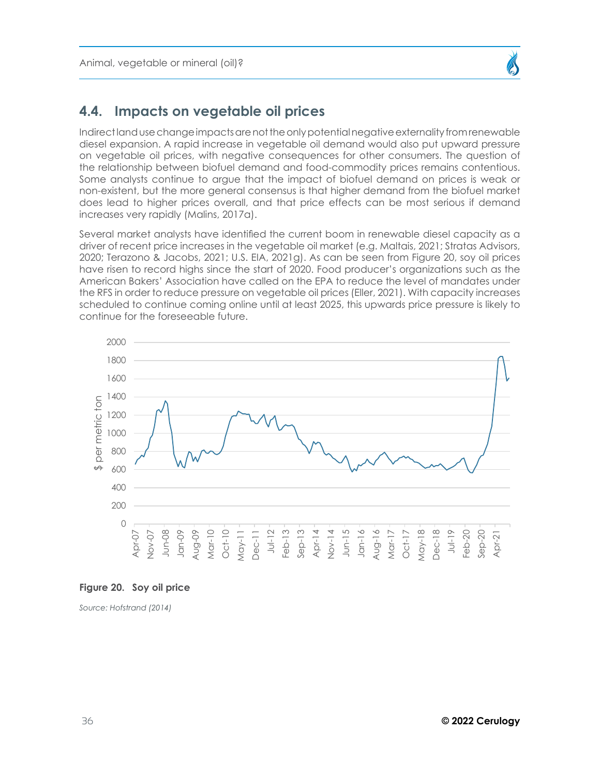## <span id="page-35-0"></span>**4.4. Impacts on vegetable oil prices**

Indirect land use change impacts are not the only potential negative externality from renewable diesel expansion. A rapid increase in vegetable oil demand would also put upward pressure on vegetable oil prices, with negative consequences for other consumers. The question of the relationship between biofuel demand and food-commodity prices remains contentious. Some analysts continue to argue that the impact of biofuel demand on prices is weak or non-existent, but the more general consensus is that higher demand from the biofuel market does lead to higher prices overall, and that price effects can be most serious if demand increases very rapidly (Malins, 2017a).

Several market analysts have identified the current boom in renewable diesel capacity as a driver of recent price increases in the vegetable oil market (e.g. Maltais, 2021; Stratas Advisors, 2020; Terazono & Jacobs, 2021; U.S. EIA, 2021g). As can be seen from Figure 20, soy oil prices have risen to record highs since the start of 2020. Food producer's organizations such as the American Bakers' Association have called on the EPA to reduce the level of mandates under the RFS in order to reduce pressure on vegetable oil prices (Eller, 2021). With capacity increases scheduled to continue coming online until at least 2025, this upwards price pressure is likely to continue for the foreseeable future.



#### **Figure 20. Soy oil price**

*Source: Hofstrand (2014)*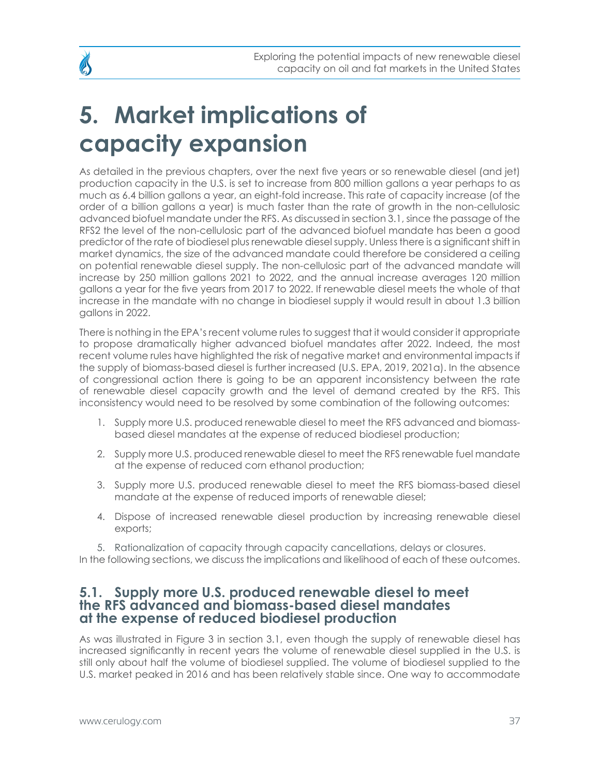# <span id="page-36-0"></span>**5. Market implications of capacity expansion**

As detailed in the previous chapters, over the next five years or so renewable diesel (and jet) production capacity in the U.S. is set to increase from 800 million gallons a year perhaps to as much as 6.4 billion gallons a year, an eight-fold increase. This rate of capacity increase (of the order of a billion gallons a year) is much faster than the rate of growth in the non-cellulosic advanced biofuel mandate under the RFS. As discussed in section 3.1, since the passage of the RFS2 the level of the non-cellulosic part of the advanced biofuel mandate has been a good predictor of the rate of biodiesel plus renewable diesel supply. Unless there is a significant shift in market dynamics, the size of the advanced mandate could therefore be considered a ceiling on potential renewable diesel supply. The non-cellulosic part of the advanced mandate will increase by 250 million gallons 2021 to 2022, and the annual increase averages 120 million gallons a year for the five years from 2017 to 2022. If renewable diesel meets the whole of that increase in the mandate with no change in biodiesel supply it would result in about 1.3 billion gallons in 2022.

There is nothing in the EPA's recent volume rules to suggest that it would consider it appropriate to propose dramatically higher advanced biofuel mandates after 2022. Indeed, the most recent volume rules have highlighted the risk of negative market and environmental impacts if the supply of biomass-based diesel is further increased (U.S. EPA, 2019, 2021a). In the absence of congressional action there is going to be an apparent inconsistency between the rate of renewable diesel capacity growth and the level of demand created by the RFS. This inconsistency would need to be resolved by some combination of the following outcomes:

- 1. Supply more U.S. produced renewable diesel to meet the RFS advanced and biomassbased diesel mandates at the expense of reduced biodiesel production;
- 2. Supply more U.S. produced renewable diesel to meet the RFS renewable fuel mandate at the expense of reduced corn ethanol production;
- 3. Supply more U.S. produced renewable diesel to meet the RFS biomass-based diesel mandate at the expense of reduced imports of renewable diesel;
- 4. Dispose of increased renewable diesel production by increasing renewable diesel exports;

5. Rationalization of capacity through capacity cancellations, delays or closures.

## In the following sections, we discuss the implications and likelihood of each of these outcomes.

## **5.1. Supply more U.S. produced renewable diesel to meet the RFS advanced and biomass-based diesel mandates at the expense of reduced biodiesel production**

As was illustrated in Figure 3 in section 3.1, even though the supply of renewable diesel has increased significantly in recent years the volume of renewable diesel supplied in the U.S. is still only about half the volume of biodiesel supplied. The volume of biodiesel supplied to the U.S. market peaked in 2016 and has been relatively stable since. One way to accommodate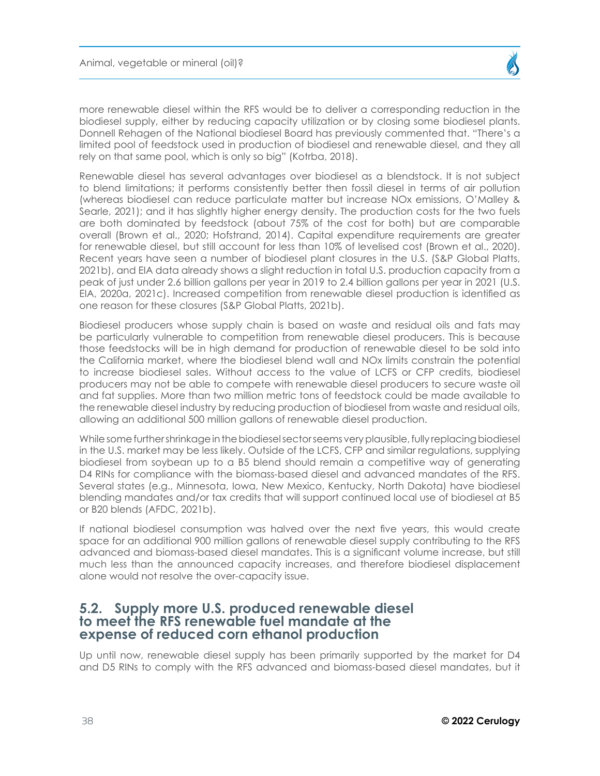<span id="page-37-0"></span>more renewable diesel within the RFS would be to deliver a corresponding reduction in the biodiesel supply, either by reducing capacity utilization or by closing some biodiesel plants. Donnell Rehagen of the National biodiesel Board has previously commented that. "There's a limited pool of feedstock used in production of biodiesel and renewable diesel, and they all rely on that same pool, which is only so big" (Kotrba, 2018).

Renewable diesel has several advantages over biodiesel as a blendstock. It is not subject to blend limitations; it performs consistently better then fossil diesel in terms of air pollution (whereas biodiesel can reduce particulate matter but increase NOx emissions, O'Malley & Searle, 2021); and it has slightly higher energy density. The production costs for the two fuels are both dominated by feedstock (about 75% of the cost for both) but are comparable overall (Brown et al., 2020; Hofstrand, 2014). Capital expenditure requirements are greater for renewable diesel, but still account for less than 10% of levelised cost (Brown et al., 2020). Recent years have seen a number of biodiesel plant closures in the U.S. (S&P Global Platts, 2021b), and EIA data already shows a slight reduction in total U.S. production capacity from a peak of just under 2.6 billion gallons per year in 2019 to 2.4 billion gallons per year in 2021 (U.S. EIA, 2020a, 2021c). Increased competition from renewable diesel production is identified as one reason for these closures (S&P Global Platts, 2021b).

Biodiesel producers whose supply chain is based on waste and residual oils and fats may be particularly vulnerable to competition from renewable diesel producers. This is because those feedstocks will be in high demand for production of renewable diesel to be sold into the California market, where the biodiesel blend wall and NOx limits constrain the potential to increase biodiesel sales. Without access to the value of LCFS or CFP credits, biodiesel producers may not be able to compete with renewable diesel producers to secure waste oil and fat supplies. More than two million metric tons of feedstock could be made available to the renewable diesel industry by reducing production of biodiesel from waste and residual oils, allowing an additional 500 million gallons of renewable diesel production.

While some further shrinkage in the biodiesel sector seems very plausible, fully replacing biodiesel in the U.S. market may be less likely. Outside of the LCFS, CFP and similar regulations, supplying biodiesel from soybean up to a B5 blend should remain a competitive way of generating D4 RINs for compliance with the biomass-based diesel and advanced mandates of the RFS. Several states (e.g., Minnesota, Iowa, New Mexico, Kentucky, North Dakota) have biodiesel blending mandates and/or tax credits that will support continued local use of biodiesel at B5 or B20 blends (AFDC, 2021b).

If national biodiesel consumption was halved over the next five years, this would create space for an additional 900 million gallons of renewable diesel supply contributing to the RFS advanced and biomass-based diesel mandates. This is a significant volume increase, but still much less than the announced capacity increases, and therefore biodiesel displacement alone would not resolve the over-capacity issue.

## **5.2. Supply more U.S. produced renewable diesel to meet the RFS renewable fuel mandate at the expense of reduced corn ethanol production**

Up until now, renewable diesel supply has been primarily supported by the market for D4 and D5 RINs to comply with the RFS advanced and biomass-based diesel mandates, but it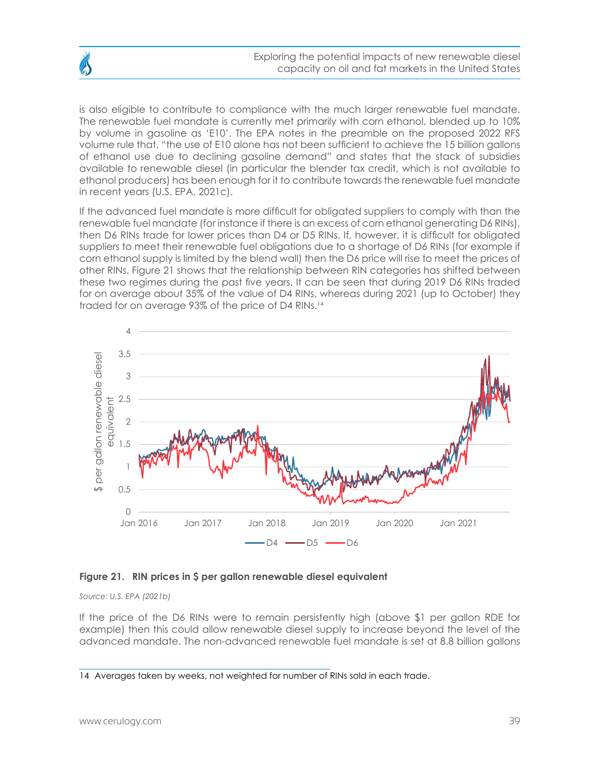Exploring the potential impacts of new renewable diesel capacity on oil and fat markets in the United States

is also eligible to contribute to compliance with the much larger renewable fuel mandate. The renewable fuel mandate is currently met primarily with corn ethanol, blended up to 10% by volume in gasoline as 'E10'. The EPA notes in the preamble on the proposed 2022 RFS volume rule that, "the use of E10 alone has not been sufficient to achieve the 15 billion gallons of ethanol use due to declining gasoline demand" and states that the stack of subsidies available to renewable diesel (in particular the blender tax credit, which is not available to ethanol producers) has been enough for it to contribute towards the renewable fuel mandate in recent years (U.S. EPA, 2021c).

If the advanced fuel mandate is more difficult for obligated suppliers to comply with than the renewable fuel mandate (for instance if there is an excess of corn ethanol generating D6 RINs), then D6 RINs trade for lower prices than D4 or D5 RINs. If, however, it is difficult for obligated suppliers to meet their renewable fuel obligations due to a shortage of D6 RINs (for example if corn ethanol supply is limited by the blend wall) then the D6 price will rise to meet the prices of other RINs. Figure 21 shows that the relationship between RIN categories has shifted between these two regimes during the past five years. It can be seen that during 2019 D6 RINs traded for on average about 35% of the value of D4 RINs, whereas during 2021 (up to October) they traded for on average 93% of the price of D4 RINs.14



#### **Figure 21. RIN prices in \$ per gallon renewable diesel equivalent**

*Source: U.S. EPA (2021b)*

If the price of the D6 RINs were to remain persistently high (above \$1 per gallon RDE for example) then this could allow renewable diesel supply to increase beyond the level of the advanced mandate. The non-advanced renewable fuel mandate is set at 8.8 billion gallons

<sup>14</sup> Averages taken by weeks, not weighted for number of RINs sold in each trade.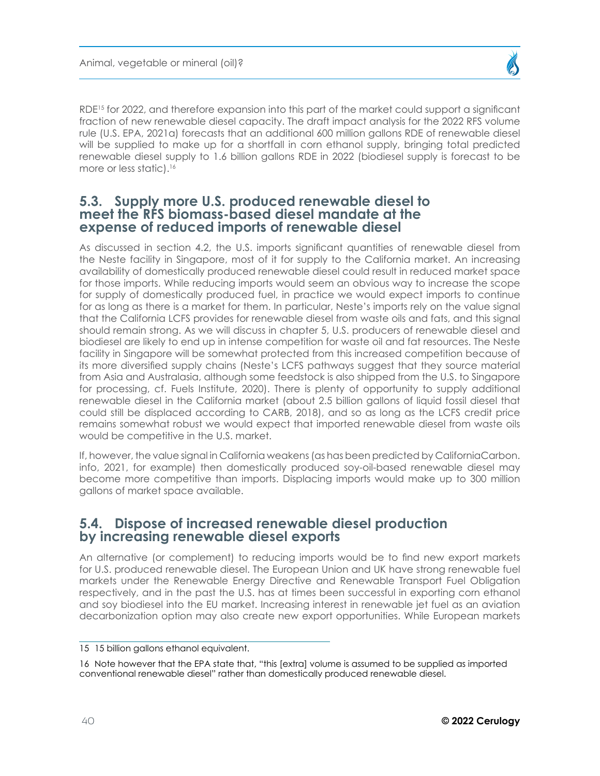<span id="page-39-0"></span>RDE<sup>15</sup> for 2022, and therefore expansion into this part of the market could support a significant fraction of new renewable diesel capacity. The draft impact analysis for the 2022 RFS volume rule (U.S. EPA, 2021a) forecasts that an additional 600 million gallons RDE of renewable diesel will be supplied to make up for a shortfall in corn ethanol supply, bringing total predicted renewable diesel supply to 1.6 billion gallons RDE in 2022 (biodiesel supply is forecast to be more or less static).<sup>16</sup>

## **5.3. Supply more U.S. produced renewable diesel to meet the RFS biomass-based diesel mandate at the expense of reduced imports of renewable diesel**

As discussed in section 4.2, the U.S. imports significant quantities of renewable diesel from the Neste facility in Singapore, most of it for supply to the California market. An increasing availability of domestically produced renewable diesel could result in reduced market space for those imports. While reducing imports would seem an obvious way to increase the scope for supply of domestically produced fuel, in practice we would expect imports to continue for as long as there is a market for them. In particular, Neste's imports rely on the value signal that the California LCFS provides for renewable diesel from waste oils and fats, and this signal should remain strong. As we will discuss in chapter 5, U.S. producers of renewable diesel and biodiesel are likely to end up in intense competition for waste oil and fat resources. The Neste facility in Singapore will be somewhat protected from this increased competition because of its more diversified supply chains (Neste's LCFS pathways suggest that they source material from Asia and Australasia, although some feedstock is also shipped from the U.S. to Singapore for processing, cf. Fuels Institute, 2020). There is plenty of opportunity to supply additional renewable diesel in the California market (about 2.5 billion gallons of liquid fossil diesel that could still be displaced according to CARB, 2018), and so as long as the LCFS credit price remains somewhat robust we would expect that imported renewable diesel from waste oils would be competitive in the U.S. market.

If, however, the value signal in California weakens (as has been predicted by CaliforniaCarbon. info, 2021, for example) then domestically produced soy-oil-based renewable diesel may become more competitive than imports. Displacing imports would make up to 300 million gallons of market space available.

# **5.4. Dispose of increased renewable diesel production by increasing renewable diesel exports**

An alternative (or complement) to reducing imports would be to find new export markets for U.S. produced renewable diesel. The European Union and UK have strong renewable fuel markets under the Renewable Energy Directive and Renewable Transport Fuel Obligation respectively, and in the past the U.S. has at times been successful in exporting corn ethanol and soy biodiesel into the EU market. Increasing interest in renewable jet fuel as an aviation decarbonization option may also create new export opportunities. While European markets

<sup>15 15</sup> billion gallons ethanol equivalent.

<sup>16</sup> Note however that the EPA state that, "this [extra] volume is assumed to be supplied as imported conventional renewable diesel" rather than domestically produced renewable diesel.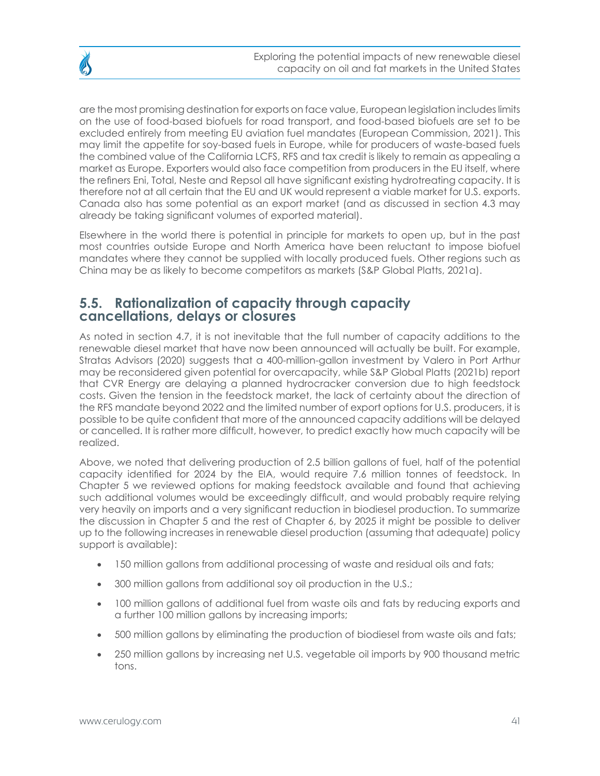<span id="page-40-0"></span>are the most promising destination for exports on face value, European legislation includes limits on the use of food-based biofuels for road transport, and food-based biofuels are set to be excluded entirely from meeting EU aviation fuel mandates (European Commission, 2021). This may limit the appetite for soy-based fuels in Europe, while for producers of waste-based fuels the combined value of the California LCFS, RFS and tax credit is likely to remain as appealing a market as Europe. Exporters would also face competition from producers in the EU itself, where the refiners Eni, Total, Neste and Repsol all have significant existing hydrotreating capacity. It is therefore not at all certain that the EU and UK would represent a viable market for U.S. exports.

Elsewhere in the world there is potential in principle for markets to open up, but in the past most countries outside Europe and North America have been reluctant to impose biofuel mandates where they cannot be supplied with locally produced fuels. Other regions such as China may be as likely to become competitors as markets (S&P Global Platts, 2021a).

Canada also has some potential as an export market (and as discussed in section 4.3 may

# **5.5. Rationalization of capacity through capacity cancellations, delays or closures**

already be taking significant volumes of exported material).

As noted in section 4.7, it is not inevitable that the full number of capacity additions to the renewable diesel market that have now been announced will actually be built. For example, Stratas Advisors (2020) suggests that a 400-million-gallon investment by Valero in Port Arthur may be reconsidered given potential for overcapacity, while S&P Global Platts (2021b) report that CVR Energy are delaying a planned hydrocracker conversion due to high feedstock costs. Given the tension in the feedstock market, the lack of certainty about the direction of the RFS mandate beyond 2022 and the limited number of export options for U.S. producers, it is possible to be quite confident that more of the announced capacity additions will be delayed or cancelled. It is rather more difficult, however, to predict exactly how much capacity will be realized.

Above, we noted that delivering production of 2.5 billion gallons of fuel, half of the potential capacity identified for 2024 by the EIA, would require 7.6 million tonnes of feedstock. In Chapter 5 we reviewed options for making feedstock available and found that achieving such additional volumes would be exceedingly difficult, and would probably require relying very heavily on imports and a very significant reduction in biodiesel production. To summarize the discussion in Chapter 5 and the rest of Chapter 6, by 2025 it might be possible to deliver up to the following increases in renewable diesel production (assuming that adequate) policy support is available):

- 150 million gallons from additional processing of waste and residual oils and fats;
- 300 million gallons from additional soy oil production in the U.S.;
- 100 million gallons of additional fuel from waste oils and fats by reducing exports and a further 100 million gallons by increasing imports;
- 500 million gallons by eliminating the production of biodiesel from waste oils and fats;
- 250 million gallons by increasing net U.S. vegetable oil imports by 900 thousand metric tons.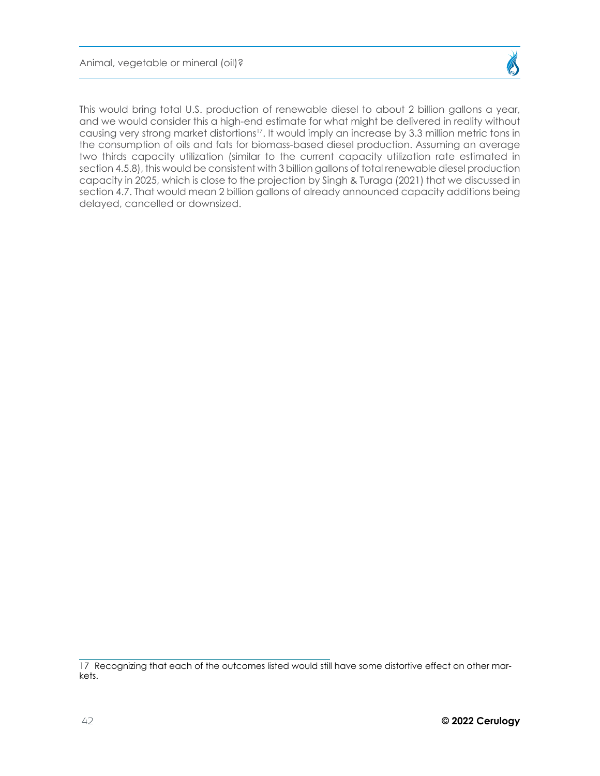Animal, vegetable or mineral (oil)?

This would bring total U.S. production of renewable diesel to about 2 billion gallons a year, and we would consider this a high-end estimate for what might be delivered in reality without causing very strong market distortions<sup>17</sup>. It would imply an increase by 3.3 million metric tons in the consumption of oils and fats for biomass-based diesel production. Assuming an average two thirds capacity utilization (similar to the current capacity utilization rate estimated in section 4.5.8), this would be consistent with 3 billion gallons of total renewable diesel production capacity in 2025, which is close to the projection by Singh & Turaga (2021) that we discussed in section 4.7. That would mean 2 billion gallons of already announced capacity additions being delayed, cancelled or downsized.

<sup>17</sup> Recognizing that each of the outcomes listed would still have some distortive effect on other markets.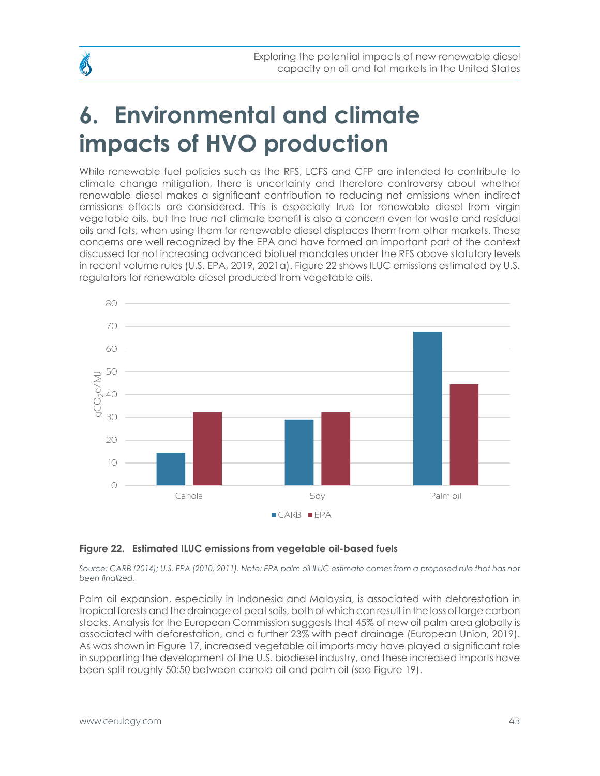# <span id="page-42-0"></span>**6. Environmental and climate impacts of HVO production**

While renewable fuel policies such as the RFS, LCFS and CFP are intended to contribute to climate change mitigation, there is uncertainty and therefore controversy about whether renewable diesel makes a significant contribution to reducing net emissions when indirect emissions effects are considered. This is especially true for renewable diesel from virgin vegetable oils, but the true net climate benefit is also a concern even for waste and residual oils and fats, when using them for renewable diesel displaces them from other markets. These concerns are well recognized by the EPA and have formed an important part of the context discussed for not increasing advanced biofuel mandates under the RFS above statutory levels in recent volume rules (U.S. EPA, 2019, 2021a). Figure 22 shows ILUC emissions estimated by U.S. regulators for renewable diesel produced from vegetable oils.



### **Figure 22. Estimated ILUC emissions from vegetable oil-based fuels**

Source: CARB (2014); U.S. EPA (2010, 2011). Note: EPA palm oil ILUC estimate comes from a proposed rule that has not *been finalized.*

Palm oil expansion, especially in Indonesia and Malaysia, is associated with deforestation in tropical forests and the drainage of peat soils, both of which can result in the loss of large carbon stocks. Analysis for the European Commission suggests that 45% of new oil palm area globally is associated with deforestation, and a further 23% with peat drainage (European Union, 2019). As was shown in Figure 17, increased vegetable oil imports may have played a significant role in supporting the development of the U.S. biodiesel industry, and these increased imports have been split roughly 50:50 between canola oil and palm oil (see Figure 19).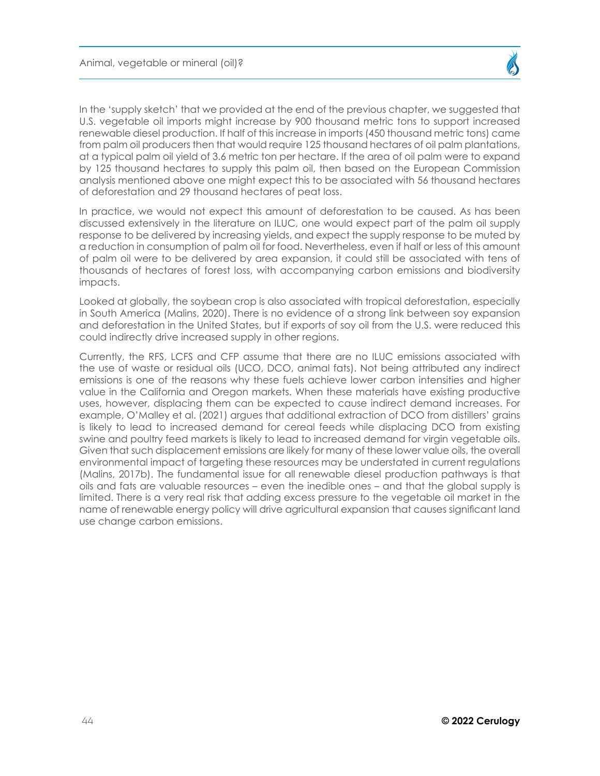In the 'supply sketch' that we provided at the end of the previous chapter, we suggested that U.S. vegetable oil imports might increase by 900 thousand metric tons to support increased renewable diesel production. If half of this increase in imports (450 thousand metric tons) came from palm oil producers then that would require 125 thousand hectares of oil palm plantations, at a typical palm oil yield of 3.6 metric ton per hectare. If the area of oil palm were to expand by 125 thousand hectares to supply this palm oil, then based on the European Commission analysis mentioned above one might expect this to be associated with 56 thousand hectares of deforestation and 29 thousand hectares of peat loss.

In practice, we would not expect this amount of deforestation to be caused. As has been discussed extensively in the literature on ILUC, one would expect part of the palm oil supply response to be delivered by increasing yields, and expect the supply response to be muted by a reduction in consumption of palm oil for food. Nevertheless, even if half or less of this amount of palm oil were to be delivered by area expansion, it could still be associated with tens of thousands of hectares of forest loss, with accompanying carbon emissions and biodiversity impacts.

Looked at globally, the soybean crop is also associated with tropical deforestation, especially in South America (Malins, 2020). There is no evidence of a strong link between soy expansion and deforestation in the United States, but if exports of soy oil from the U.S. were reduced this could indirectly drive increased supply in other regions.

Currently, the RFS, LCFS and CFP assume that there are no ILUC emissions associated with the use of waste or residual oils (UCO, DCO, animal fats). Not being attributed any indirect emissions is one of the reasons why these fuels achieve lower carbon intensities and higher value in the California and Oregon markets. When these materials have existing productive uses, however, displacing them can be expected to cause indirect demand increases. For example, O'Malley et al. (2021) argues that additional extraction of DCO from distillers' grains is likely to lead to increased demand for cereal feeds while displacing DCO from existing swine and poultry feed markets is likely to lead to increased demand for virgin vegetable oils. Given that such displacement emissions are likely for many of these lower value oils, the overall environmental impact of targeting these resources may be understated in current regulations (Malins, 2017b). The fundamental issue for all renewable diesel production pathways is that oils and fats are valuable resources – even the inedible ones – and that the global supply is limited. There is a very real risk that adding excess pressure to the vegetable oil market in the name of renewable energy policy will drive agricultural expansion that causes significant land use change carbon emissions.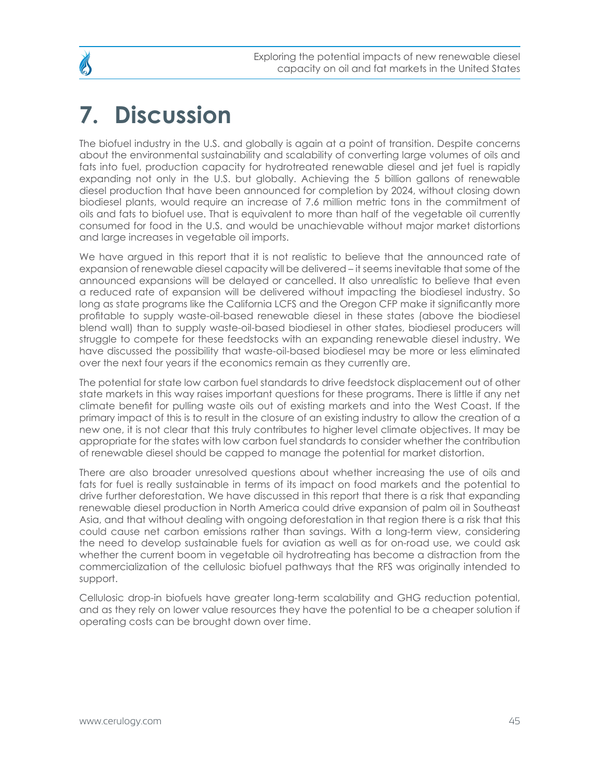## <span id="page-44-0"></span>**7. Discussion**

The biofuel industry in the U.S. and globally is again at a point of transition. Despite concerns about the environmental sustainability and scalability of converting large volumes of oils and fats into fuel, production capacity for hydrotreated renewable diesel and jet fuel is rapidly expanding not only in the U.S. but globally. Achieving the 5 billion gallons of renewable diesel production that have been announced for completion by 2024, without closing down biodiesel plants, would require an increase of 7.6 million metric tons in the commitment of oils and fats to biofuel use. That is equivalent to more than half of the vegetable oil currently consumed for food in the U.S. and would be unachievable without major market distortions and large increases in vegetable oil imports.

We have argued in this report that it is not realistic to believe that the announced rate of expansion of renewable diesel capacity will be delivered – it seems inevitable that some of the announced expansions will be delayed or cancelled. It also unrealistic to believe that even a reduced rate of expansion will be delivered without impacting the biodiesel industry. So long as state programs like the California LCFS and the Oregon CFP make it significantly more profitable to supply waste-oil-based renewable diesel in these states (above the biodiesel blend wall) than to supply waste-oil-based biodiesel in other states, biodiesel producers will struggle to compete for these feedstocks with an expanding renewable diesel industry. We have discussed the possibility that waste-oil-based biodiesel may be more or less eliminated over the next four years if the economics remain as they currently are.

The potential for state low carbon fuel standards to drive feedstock displacement out of other state markets in this way raises important questions for these programs. There is little if any net climate benefit for pulling waste oils out of existing markets and into the West Coast. If the primary impact of this is to result in the closure of an existing industry to allow the creation of a new one, it is not clear that this truly contributes to higher level climate objectives. It may be appropriate for the states with low carbon fuel standards to consider whether the contribution of renewable diesel should be capped to manage the potential for market distortion.

There are also broader unresolved questions about whether increasing the use of oils and fats for fuel is really sustainable in terms of its impact on food markets and the potential to drive further deforestation. We have discussed in this report that there is a risk that expanding renewable diesel production in North America could drive expansion of palm oil in Southeast Asia, and that without dealing with ongoing deforestation in that region there is a risk that this could cause net carbon emissions rather than savings. With a long-term view, considering the need to develop sustainable fuels for aviation as well as for on-road use, we could ask whether the current boom in vegetable oil hydrotreating has become a distraction from the commercialization of the cellulosic biofuel pathways that the RFS was originally intended to support.

Cellulosic drop-in biofuels have greater long-term scalability and GHG reduction potential, and as they rely on lower value resources they have the potential to be a cheaper solution if operating costs can be brought down over time.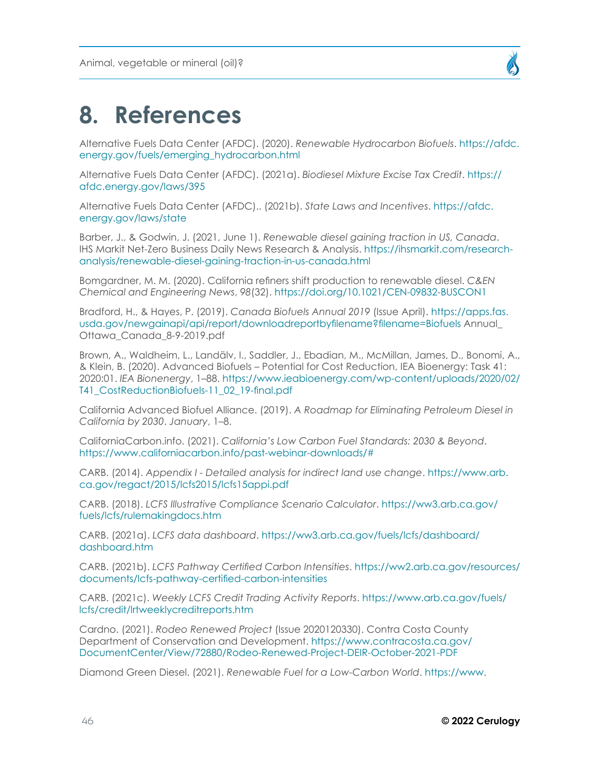

## <span id="page-45-0"></span>**8. References**

Alternative Fuels Data Center (AFDC). (2020). *Renewable Hydrocarbon Biofuels*. [https://afdc.](https://afdc.energy.gov/fuels/emerging_hydrocarbon.html) [energy.gov/fuels/emerging\\_hydrocarbon.html](https://afdc.energy.gov/fuels/emerging_hydrocarbon.html)

Alternative Fuels Data Center (AFDC). (2021a). *Biodiesel Mixture Excise Tax Credit*. [https://](https://afdc.energy.gov/laws/395) [afdc.energy.gov/laws/395](https://afdc.energy.gov/laws/395)

Alternative Fuels Data Center (AFDC).. (2021b). *State Laws and Incentives*. [https://afdc.](https://afdc.energy.gov/laws/state) [energy.gov/laws/state](https://afdc.energy.gov/laws/state)

Barber, J., & Godwin, J. (2021, June 1). *Renewable diesel gaining traction in US, Canada*. IHS Markit Net-Zero Business Daily News Research & Analysis. [https://ihsmarkit.com/research](https://ihsmarkit.com/research-analysis/renewable-diesel-gaining-traction-in-us-canada.html)[analysis/renewable-diesel-gaining-traction-in-us-canada.html](https://ihsmarkit.com/research-analysis/renewable-diesel-gaining-traction-in-us-canada.html)

Bomgardner, M. M. (2020). California refiners shift production to renewable diesel. *C&EN Chemical and Engineering News*, *98*(32). <https://doi.org/10.1021/CEN-09832-BUSCON1>

Bradford, H., & Hayes, P. (2019). *Canada Biofuels Annual 2019* (Issue April). [https://apps.fas.](https://apps.fas.usda.gov/newgainapi/api/report/downloadreportbyfilename?filename=Biofuels) [usda.gov/newgainapi/api/report/downloadreportbyfilename?filename=Biofuels](https://apps.fas.usda.gov/newgainapi/api/report/downloadreportbyfilename?filename=Biofuels) Annual\_ Ottawa\_Canada\_8-9-2019.pdf

Brown, A., Waldheim, L., Landälv, I., Saddler, J., Ebadian, M., McMillan, James, D., Bonomi, A., & Klein, B. (2020). Advanced Biofuels – Potential for Cost Reduction, IEA Bioenergy: Task 41: 2020:01. *IEA Bionenergy*, 1–88. [https://www.ieabioenergy.com/wp-content/uploads/2020/02/](https://www.ieabioenergy.com/wp-content/uploads/2020/02/T41_CostReductionBiofuels-11_02_19-final.pdf) [T41\\_CostReductionBiofuels-11\\_02\\_19-final.pdf](https://www.ieabioenergy.com/wp-content/uploads/2020/02/T41_CostReductionBiofuels-11_02_19-final.pdf)

California Advanced Biofuel Alliance. (2019). *A Roadmap for Eliminating Petroleum Diesel in California by 2030*. *January*, 1–8.

CaliforniaCarbon.info. (2021). *California's Low Carbon Fuel Standards: 2030 & Beyond*. <https://www.californiacarbon.info/past-webinar-downloads/#>

CARB. (2014). *Appendix I - Detailed analysis for indirect land use change*. [https://www.arb.](https://www.arb.ca.gov/regact/2015/lcfs2015/lcfs15appi.pdf) [ca.gov/regact/2015/lcfs2015/lcfs15appi.pdf](https://www.arb.ca.gov/regact/2015/lcfs2015/lcfs15appi.pdf)

CARB. (2018). *LCFS Illustrative Compliance Scenario Calculator*. [https://ww3.arb.ca.gov/](https://ww3.arb.ca.gov/fuels/lcfs/rulemakingdocs.htm) [fuels/lcfs/rulemakingdocs.htm](https://ww3.arb.ca.gov/fuels/lcfs/rulemakingdocs.htm)

CARB. (2021a). *LCFS data dashboard*. [https://ww3.arb.ca.gov/fuels/lcfs/dashboard/](https://ww3.arb.ca.gov/fuels/lcfs/dashboard/dashboard.htm) [dashboard.htm](https://ww3.arb.ca.gov/fuels/lcfs/dashboard/dashboard.htm)

CARB. (2021b). *LCFS Pathway Certified Carbon Intensities*. [https://ww2.arb.ca.gov/resources/](https://ww2.arb.ca.gov/resources/documents/lcfs-pathway-certified-carbon-intensities) [documents/lcfs-pathway-certified-carbon-intensities](https://ww2.arb.ca.gov/resources/documents/lcfs-pathway-certified-carbon-intensities)

CARB. (2021c). *Weekly LCFS Credit Trading Activity Reports*. [https://www.arb.ca.gov/fuels/](https://www.arb.ca.gov/fuels/lcfs/credit/lrtweeklycreditreports.htm) [lcfs/credit/lrtweeklycreditreports.htm](https://www.arb.ca.gov/fuels/lcfs/credit/lrtweeklycreditreports.htm)

Cardno. (2021). *Rodeo Renewed Project* (Issue 2020120330). Contra Costa County Department of Conservation and Development. [https://www.contracosta.ca.gov/](https://www.contracosta.ca.gov/DocumentCenter/View/72880/Rodeo-Renewed-Project-DEIR-October-2021-PDF) [DocumentCenter/View/72880/Rodeo-Renewed-Project-DEIR-October-2021-PDF](https://www.contracosta.ca.gov/DocumentCenter/View/72880/Rodeo-Renewed-Project-DEIR-October-2021-PDF)

Diamond Green Diesel. (2021). *Renewable Fuel for a Low-Carbon World*. [https://www.](https://www.diamondgreendiesel.com/)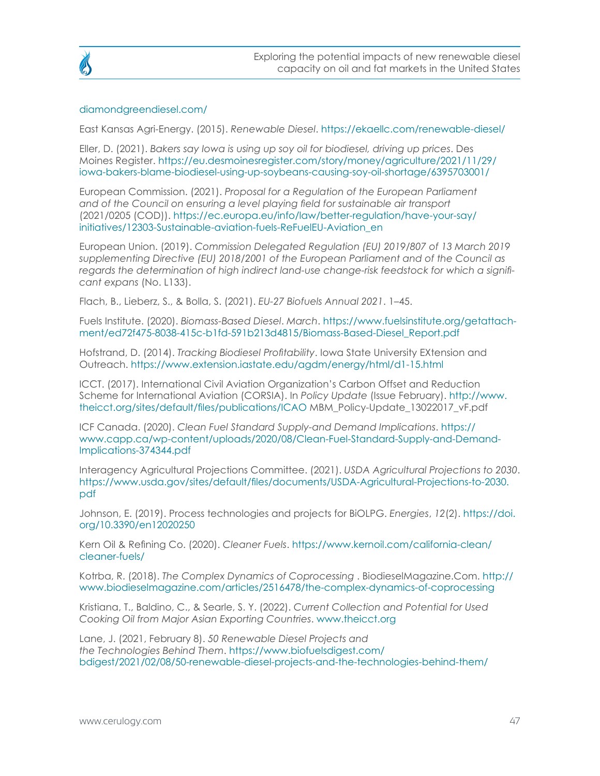

#### [diamondgreendiesel.com/](https://www.diamondgreendiesel.com/)

East Kansas Agri-Energy. (2015). *Renewable Diesel*. <https://ekaellc.com/renewable-diesel/>

Eller, D. (2021). *Bakers say Iowa is using up soy oil for biodiesel, driving up prices*. Des Moines Register. [https://eu.desmoinesregister.com/story/money/agriculture/2021/11/29/](https://eu.desmoinesregister.com/story/money/agriculture/2021/11/29/iowa-bakers-blame-biodiesel-using-up-soybeans-causing-soy-oil-shortage/6395703001/) [iowa-bakers-blame-biodiesel-using-up-soybeans-causing-soy-oil-shortage/6395703001/](https://eu.desmoinesregister.com/story/money/agriculture/2021/11/29/iowa-bakers-blame-biodiesel-using-up-soybeans-causing-soy-oil-shortage/6395703001/)

European Commission. (2021). *Proposal for a Regulation of the European Parliament and of the Council on ensuring a level playing field for sustainable air transport* (2021/0205 (COD)). [https://ec.europa.eu/info/law/better-regulation/have-your-say/](https://ec.europa.eu/info/law/better-regulation/have-your-say/initiatives/12303-Sustainable-aviation-fuels-ReFuelEU-Aviation_en) [initiatives/12303-Sustainable-aviation-fuels-ReFuelEU-Aviation\\_en](https://ec.europa.eu/info/law/better-regulation/have-your-say/initiatives/12303-Sustainable-aviation-fuels-ReFuelEU-Aviation_en)

European Union. (2019). *Commission Delegated Regulation (EU) 2019/807 of 13 March 2019 supplementing Directive (EU) 2018/2001 of the European Parliament and of the Council as regards the determination of high indirect land-use change-risk feedstock for which a significant expans* (No. L133).

Flach, B., Lieberz, S., & Bolla, S. (2021). *EU-27 Biofuels Annual 2021*. 1–45.

Fuels Institute. (2020). *Biomass-Based Diesel*. *March*. [https://www.fuelsinstitute.org/getattach](https://www.fuelsinstitute.org/getattachment/ed72f475-8038-415c-b1fd-591b213d4815/Biomass-Based-Diesel_Report.pdf)[ment/ed72f475-8038-415c-b1fd-591b213d4815/Biomass-Based-Diesel\\_Report.pdf](https://www.fuelsinstitute.org/getattachment/ed72f475-8038-415c-b1fd-591b213d4815/Biomass-Based-Diesel_Report.pdf)

Hofstrand, D. (2014). *Tracking Biodiesel Profitability*. Iowa State University EXtension and Outreach. <https://www.extension.iastate.edu/agdm/energy/html/d1-15.html>

ICCT. (2017). International Civil Aviation Organization's Carbon Offset and Reduction Scheme for International Aviation (CORSIA). In *Policy Update* (Issue February). [http://www.](http://www.theicct.org/sites/default/files/publications/ICAO) [theicct.org/sites/default/files/publications/ICAO](http://www.theicct.org/sites/default/files/publications/ICAO) MBM\_Policy-Update\_13022017\_vF.pdf

ICF Canada. (2020). *Clean Fuel Standard Supply-and Demand Implications*. [https://](https://www.capp.ca/wp-content/uploads/2020/08/Clean-Fuel-Standard-Supply-and-Demand-Implications-374344.pdf) [www.capp.ca/wp-content/uploads/2020/08/Clean-Fuel-Standard-Supply-and-Demand-](https://www.capp.ca/wp-content/uploads/2020/08/Clean-Fuel-Standard-Supply-and-Demand-Implications-374344.pdf)[Implications-374344.pdf](https://www.capp.ca/wp-content/uploads/2020/08/Clean-Fuel-Standard-Supply-and-Demand-Implications-374344.pdf)

Interagency Agricultural Projections Committee. (2021). *USDA Agricultural Projections to 2030*. [https://www.usda.gov/sites/default/files/documents/USDA-Agricultural-Projections-to-2030.](https://www.usda.gov/sites/default/files/documents/USDA-Agricultural-Projections-to-2030.pdf) [pdf](https://www.usda.gov/sites/default/files/documents/USDA-Agricultural-Projections-to-2030.pdf)

Johnson, E. (2019). Process technologies and projects for BiOLPG. *Energies*, *12*(2). [https://doi.](https://doi.org/10.3390/en12020250) [org/10.3390/en12020250](https://doi.org/10.3390/en12020250)

Kern Oil & Refining Co. (2020). *Cleaner Fuels*. [https://www.kernoil.com/california-clean/](https://www.kernoil.com/california-clean/cleaner-fuels/) [cleaner-fuels/](https://www.kernoil.com/california-clean/cleaner-fuels/)

Kotrba, R. (2018). *The Complex Dynamics of Coprocessing* . BiodieselMagazine.Com. [http://](http://www.biodieselmagazine.com/articles/2516478/the-complex-dynamics-of-coprocessing) [www.biodieselmagazine.com/articles/2516478/the-complex-dynamics-of-coprocessing](http://www.biodieselmagazine.com/articles/2516478/the-complex-dynamics-of-coprocessing)

Kristiana, T., Baldino, C., & Searle, S. Y. (2022). *Current Collection and Potential for Used Cooking Oil from Major Asian Exporting Countries*. [www.theicct.org](http://www.theicct.org)

Lane, J. (2021, February 8). *50 Renewable Diesel Projects and the Technologies Behind Them*. [https://www.biofuelsdigest.com/](https://www.biofuelsdigest.com/bdigest/2021/02/08/50-renewable-diesel-projects-and-the-technologies-behind-them/) [bdigest/2021/02/08/50-renewable-diesel-projects-and-the-technologies-behind-them/](https://www.biofuelsdigest.com/bdigest/2021/02/08/50-renewable-diesel-projects-and-the-technologies-behind-them/)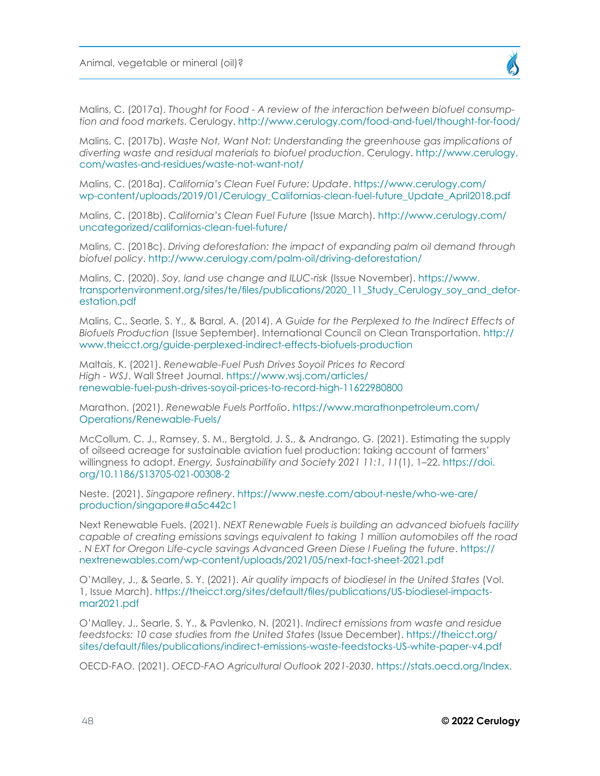Malins, C. (2017a). *Thought for Food - A review of the interaction between biofuel consumption and food markets*. Cerulogy. <http://www.cerulogy.com/food-and-fuel/thought-for-food/>

Malins, C. (2017b). *Waste Not, Want Not: Understanding the greenhouse gas implications of diverting waste and residual materials to biofuel production*. Cerulogy. [http://www.cerulogy.](http://www.cerulogy.com/wastes-and-residues/waste-not-want-not/) [com/wastes-and-residues/waste-not-want-not/](http://www.cerulogy.com/wastes-and-residues/waste-not-want-not/)

Malins, C. (2018a). *California's Clean Fuel Future: Update*. [https://www.cerulogy.com/](https://www.cerulogy.com/wp-content/uploads/2019/01/Cerulogy_Californias-clean-fuel-future_Update_April2018.pdf) [wp-content/uploads/2019/01/Cerulogy\\_Californias-clean-fuel-future\\_Update\\_April2018.pdf](https://www.cerulogy.com/wp-content/uploads/2019/01/Cerulogy_Californias-clean-fuel-future_Update_April2018.pdf)

Malins, C. (2018b). *California's Clean Fuel Future* (Issue March). [http://www.cerulogy.com/](http://www.cerulogy.com/uncategorized/californias-clean-fuel-future/) [uncategorized/californias-clean-fuel-future/](http://www.cerulogy.com/uncategorized/californias-clean-fuel-future/)

Malins, C. (2018c). *Driving deforestation: the impact of expanding palm oil demand through biofuel policy*. <http://www.cerulogy.com/palm-oil/driving-deforestation/>

Malins, C. (2020). *Soy, land use change and ILUC-risk* (Issue November). [https://www.](https://www.transportenvironment.org/sites/te/files/publications/2020_11_Study_Cerulogy_soy_and_deforestation.pdf) [transportenvironment.org/sites/te/files/publications/2020\\_11\\_Study\\_Cerulogy\\_soy\\_and\\_defor](https://www.transportenvironment.org/sites/te/files/publications/2020_11_Study_Cerulogy_soy_and_deforestation.pdf)[estation.pdf](https://www.transportenvironment.org/sites/te/files/publications/2020_11_Study_Cerulogy_soy_and_deforestation.pdf)

Malins, C., Searle, S. Y., & Baral, A. (2014). *A Guide for the Perplexed to the Indirect Effects of Biofuels Production* (Issue September). International Council on Clean Transportation. [http://](http://www.theicct.org/guide-perplexed-indirect-effects-biofuels-production) [www.theicct.org/guide-perplexed-indirect-effects-biofuels-production](http://www.theicct.org/guide-perplexed-indirect-effects-biofuels-production)

Maltais, K. (2021). *Renewable-Fuel Push Drives Soyoil Prices to Record High - WSJ*. Wall Street Journal. [https://www.wsj.com/articles/](https://www.wsj.com/articles/renewable-fuel-push-drives-soyoil-prices-to-record-high-11622980800) [renewable-fuel-push-drives-soyoil-prices-to-record-high-11622980800](https://www.wsj.com/articles/renewable-fuel-push-drives-soyoil-prices-to-record-high-11622980800)

Marathon. (2021). *Renewable Fuels Portfolio*. [https://www.marathonpetroleum.com/](https://www.marathonpetroleum.com/Operations/Renewable-Fuels/) [Operations/Renewable-Fuels/](https://www.marathonpetroleum.com/Operations/Renewable-Fuels/)

McCollum, C. J., Ramsey, S. M., Bergtold, J. S., & Andrango, G. (2021). Estimating the supply of oilseed acreage for sustainable aviation fuel production: taking account of farmers' willingness to adopt. *Energy, Sustainability and Society 2021 11:1*, *11*(1), 1–22. [https://doi.](https://doi.org/10.1186/S13705-021-00308-2) [org/10.1186/S13705-021-00308-2](https://doi.org/10.1186/S13705-021-00308-2)

Neste. (2021). *Singapore refinery*. [https://www.neste.com/about-neste/who-we-are/](https://www.neste.com/about-neste/who-we-are/production/singapore#a5c442c1) [production/singapore#a5c442c1](https://www.neste.com/about-neste/who-we-are/production/singapore#a5c442c1)

Next Renewable Fuels. (2021). *NEXT Renewable Fuels is building an advanced biofuels facility capable of creating emissions savings equivalent to taking 1 million automobiles off the road . N EXT for Oregon Life-cycle savings Advanced Green Diese l Fueling the future*. [https://](https://nextrenewables.com/wp-content/uploads/2021/05/next-fact-sheet-2021.pdf) [nextrenewables.com/wp-content/uploads/2021/05/next-fact-sheet-2021.pdf](https://nextrenewables.com/wp-content/uploads/2021/05/next-fact-sheet-2021.pdf)

O'Malley, J., & Searle, S. Y. (2021). *Air quality impacts of biodiesel in the United States* (Vol. 1, Issue March). [https://theicct.org/sites/default/files/publications/US-biodiesel-impacts](https://theicct.org/sites/default/files/publications/US-biodiesel-impacts-mar2021.pdf)[mar2021.pdf](https://theicct.org/sites/default/files/publications/US-biodiesel-impacts-mar2021.pdf)

O'Malley, J., Searle, S. Y., & Pavlenko, N. (2021). *Indirect emissions from waste and residue feedstocks: 10 case studies from the United States* (Issue December). [https://theicct.org/](https://theicct.org/sites/default/files/publications/indirect-emissions-waste-feedstocks-US-white-paper-v4.pdf) [sites/default/files/publications/indirect-emissions-waste-feedstocks-US-white-paper-v4.pdf](https://theicct.org/sites/default/files/publications/indirect-emissions-waste-feedstocks-US-white-paper-v4.pdf)

OECD-FAO. (2021). *OECD-FAO Agricultural Outlook 2021-2030*. [https://stats.oecd.org/Index.](https://stats.oecd.org/Index.aspx?DataSetCode=HIGH_AGLINK_2021#)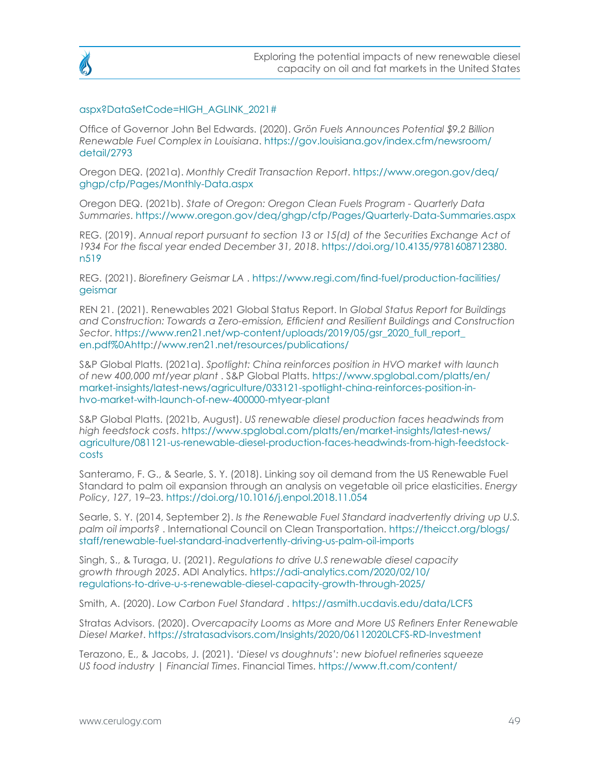#### [aspx?DataSetCode=HIGH\\_AGLINK\\_2021#](https://stats.oecd.org/Index.aspx?DataSetCode=HIGH_AGLINK_2021#)

Office of Governor John Bel Edwards. (2020). *Grön Fuels Announces Potential \$9.2 Billion Renewable Fuel Complex in Louisiana*. [https://gov.louisiana.gov/index.cfm/newsroom/](https://gov.louisiana.gov/index.cfm/newsroom/detail/2793) [detail/2793](https://gov.louisiana.gov/index.cfm/newsroom/detail/2793)

Oregon DEQ. (2021a). *Monthly Credit Transaction Report*. [https://www.oregon.gov/deq/](https://www.oregon.gov/deq/ghgp/cfp/Pages/Monthly-Data.aspx) [ghgp/cfp/Pages/Monthly-Data.aspx](https://www.oregon.gov/deq/ghgp/cfp/Pages/Monthly-Data.aspx)

Oregon DEQ. (2021b). *State of Oregon: Oregon Clean Fuels Program - Quarterly Data Summaries*. <https://www.oregon.gov/deq/ghgp/cfp/Pages/Quarterly-Data-Summaries.aspx>

REG. (2019). *Annual report pursuant to section 13 or 15(d) of the Securities Exchange Act of 1934 For the fiscal year ended December 31, 2018*. [https://doi.org/10.4135/9781608712380.](https://doi.org/10.4135/9781608712380.n519) [n519](https://doi.org/10.4135/9781608712380.n519)

REG. (2021). *Biorefinery Geismar LA* . [https://www.regi.com/find-fuel/production-facilities/](https://www.regi.com/find-fuel/production-facilities/geismar) [geismar](https://www.regi.com/find-fuel/production-facilities/geismar)

REN 21. (2021). Renewables 2021 Global Status Report. In *Global Status Report for Buildings and Construction: Towards a Zero-emission, Efficient and Resilient Buildings and Construction Sector*. [https://www.ren21.net/wp-content/uploads/2019/05/gsr\\_2020\\_full\\_report\\_](https://www.ren21.net/wp-content/uploads/2019/05/gsr_2020_full_report_en.pdf%0Ahttp) [en.pdf%0Ahttp:](https://www.ren21.net/wp-content/uploads/2019/05/gsr_2020_full_report_en.pdf%0Ahttp)/[/www.ren21.net/resources/publications/](http://www.ren21.net/resources/publications/)

S&P Global Platts. (2021a). *Spotlight: China reinforces position in HVO market with launch of new 400,000 mt/year plant* . S&P Global Platts. [https://www.spglobal.com/platts/en/](https://www.spglobal.com/platts/en/market-insights/latest-news/agriculture/033121-spotlight-china-reinforces-position-in-hvo-market-with-launch-of-new-400000-mtyear-plant) [market-insights/latest-news/agriculture/033121-spotlight-china-reinforces-position-in](https://www.spglobal.com/platts/en/market-insights/latest-news/agriculture/033121-spotlight-china-reinforces-position-in-hvo-market-with-launch-of-new-400000-mtyear-plant)[hvo-market-with-launch-of-new-400000-mtyear-plant](https://www.spglobal.com/platts/en/market-insights/latest-news/agriculture/033121-spotlight-china-reinforces-position-in-hvo-market-with-launch-of-new-400000-mtyear-plant)

S&P Global Platts. (2021b, August). *US renewable diesel production faces headwinds from high feedstock costs*. [https://www.spglobal.com/platts/en/market-insights/latest-news/](https://www.spglobal.com/platts/en/market-insights/latest-news/agriculture/081121-us-renewable-diesel-production-faces-headwinds-from-high-feedstock-costs) [agriculture/081121-us-renewable-diesel-production-faces-headwinds-from-high-feedstock](https://www.spglobal.com/platts/en/market-insights/latest-news/agriculture/081121-us-renewable-diesel-production-faces-headwinds-from-high-feedstock-costs)[costs](https://www.spglobal.com/platts/en/market-insights/latest-news/agriculture/081121-us-renewable-diesel-production-faces-headwinds-from-high-feedstock-costs)

Santeramo, F. G., & Searle, S. Y. (2018). Linking soy oil demand from the US Renewable Fuel Standard to palm oil expansion through an analysis on vegetable oil price elasticities. *Energy Policy*, *127*, 19–23. <https://doi.org/10.1016/j.enpol.2018.11.054>

Searle, S. Y. (2014, September 2). *Is the Renewable Fuel Standard inadvertently driving up U.S. palm oil imports?* . International Council on Clean Transportation. [https://theicct.org/blogs/](https://theicct.org/blogs/staff/renewable-fuel-standard-inadvertently-driving-us-palm-oil-imports) [staff/renewable-fuel-standard-inadvertently-driving-us-palm-oil-imports](https://theicct.org/blogs/staff/renewable-fuel-standard-inadvertently-driving-us-palm-oil-imports)

Singh, S., & Turaga, U. (2021). *Regulations to drive U.S renewable diesel capacity growth through 2025*. ADI Analytics. [https://adi-analytics.com/2020/02/10/](https://adi-analytics.com/2020/02/10/regulations-to-drive-u-s-renewable-diesel-capacity-growth-through-2025/) [regulations-to-drive-u-s-renewable-diesel-capacity-growth-through-2025/](https://adi-analytics.com/2020/02/10/regulations-to-drive-u-s-renewable-diesel-capacity-growth-through-2025/)

Smith, A. (2020). *Low Carbon Fuel Standard* . <https://asmith.ucdavis.edu/data/LCFS>

Stratas Advisors. (2020). *Overcapacity Looms as More and More US Refiners Enter Renewable Diesel Market*. <https://stratasadvisors.com/Insights/2020/06112020LCFS-RD-Investment>

Terazono, E., & Jacobs, J. (2021). *'Diesel vs doughnuts': new biofuel refineries squeeze US food industry | Financial Times*. Financial Times. [https://www.ft.com/content/](https://www.ft.com/content/b5839a04-a06a-49c1-8622-2974cbb9a84a)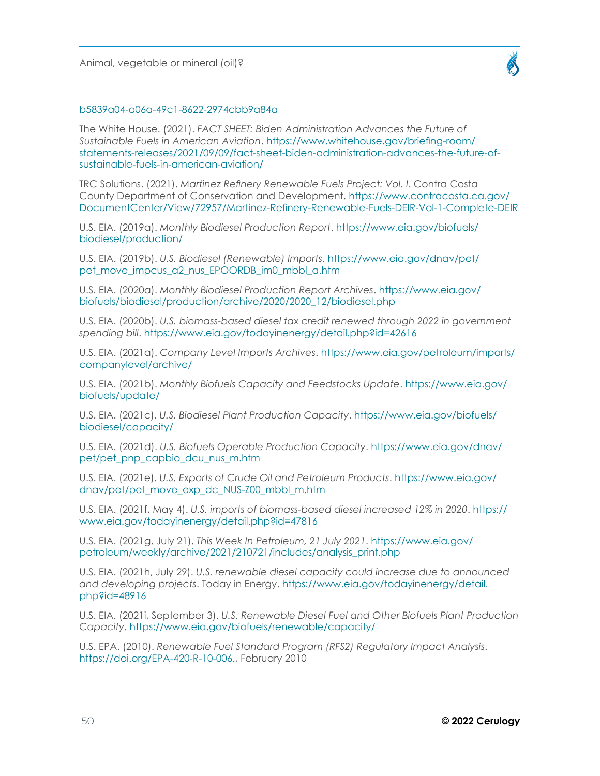

#### [b5839a04-a06a-49c1-8622-2974cbb9a84a](https://www.ft.com/content/b5839a04-a06a-49c1-8622-2974cbb9a84a)

The White House. (2021). *FACT SHEET: Biden Administration Advances the Future of Sustainable Fuels in American Aviation*. [https://www.whitehouse.gov/briefing-room/](https://www.whitehouse.gov/briefing-room/statements-releases/2021/09/09/fact-sheet-biden-administration-advances-the-future-of-sustainable-fuels-in-american-aviation/) [statements-releases/2021/09/09/fact-sheet-biden-administration-advances-the-future-of](https://www.whitehouse.gov/briefing-room/statements-releases/2021/09/09/fact-sheet-biden-administration-advances-the-future-of-sustainable-fuels-in-american-aviation/)[sustainable-fuels-in-american-aviation/](https://www.whitehouse.gov/briefing-room/statements-releases/2021/09/09/fact-sheet-biden-administration-advances-the-future-of-sustainable-fuels-in-american-aviation/)

TRC Solutions. (2021). *Martinez Refinery Renewable Fuels Project: Vol. I*. Contra Costa County Department of Conservation and Development. [https://www.contracosta.ca.gov/](https://www.contracosta.ca.gov/DocumentCenter/View/72957/Martinez-Refinery-Renewable-Fuels-DEIR-Vol-1-Complete-DEIR) [DocumentCenter/View/72957/Martinez-Refinery-Renewable-Fuels-DEIR-Vol-1-Complete-DEIR](https://www.contracosta.ca.gov/DocumentCenter/View/72957/Martinez-Refinery-Renewable-Fuels-DEIR-Vol-1-Complete-DEIR)

U.S. EIA. (2019a). *Monthly Biodiesel Production Report*. [https://www.eia.gov/biofuels/](https://www.eia.gov/biofuels/biodiesel/production/) [biodiesel/production/](https://www.eia.gov/biofuels/biodiesel/production/)

U.S. EIA. (2019b). *U.S. Biodiesel (Renewable) Imports*. [https://www.eia.gov/dnav/pet/](https://www.eia.gov/dnav/pet/pet_move_impcus_a2_nus_EPOORDB_im0_mbbl_a.htm) [pet\\_move\\_impcus\\_a2\\_nus\\_EPOORDB\\_im0\\_mbbl\\_a.htm](https://www.eia.gov/dnav/pet/pet_move_impcus_a2_nus_EPOORDB_im0_mbbl_a.htm)

U.S. EIA. (2020a). *Monthly Biodiesel Production Report Archives*. [https://www.eia.gov/](https://www.eia.gov/biofuels/biodiesel/production/archive/2020/2020_12/biodiesel.php) [biofuels/biodiesel/production/archive/2020/2020\\_12/biodiesel.php](https://www.eia.gov/biofuels/biodiesel/production/archive/2020/2020_12/biodiesel.php)

U.S. EIA. (2020b). *U.S. biomass-based diesel tax credit renewed through 2022 in government spending bill*. <https://www.eia.gov/todayinenergy/detail.php?id=42616>

U.S. EIA. (2021a). *Company Level Imports Archives*. [https://www.eia.gov/petroleum/imports/](https://www.eia.gov/petroleum/imports/companylevel/archive/) [companylevel/archive/](https://www.eia.gov/petroleum/imports/companylevel/archive/)

U.S. EIA. (2021b). *Monthly Biofuels Capacity and Feedstocks Update*. [https://www.eia.gov/](https://www.eia.gov/biofuels/update/) [biofuels/update/](https://www.eia.gov/biofuels/update/)

U.S. EIA. (2021c). *U.S. Biodiesel Plant Production Capacity*. [https://www.eia.gov/biofuels/](https://www.eia.gov/biofuels/biodiesel/capacity/) [biodiesel/capacity/](https://www.eia.gov/biofuels/biodiesel/capacity/)

U.S. EIA. (2021d). *U.S. Biofuels Operable Production Capacity*. [https://www.eia.gov/dnav/](https://www.eia.gov/dnav/pet/pet_pnp_capbio_dcu_nus_m.htm) [pet/pet\\_pnp\\_capbio\\_dcu\\_nus\\_m.htm](https://www.eia.gov/dnav/pet/pet_pnp_capbio_dcu_nus_m.htm)

U.S. EIA. (2021e). *U.S. Exports of Crude Oil and Petroleum Products*. [https://www.eia.gov/](https://www.eia.gov/dnav/pet/pet_move_exp_dc_NUS-Z00_mbbl_m.htm) [dnav/pet/pet\\_move\\_exp\\_dc\\_NUS-Z00\\_mbbl\\_m.htm](https://www.eia.gov/dnav/pet/pet_move_exp_dc_NUS-Z00_mbbl_m.htm)

U.S. EIA. (2021f, May 4). *U.S. imports of biomass-based diesel increased 12% in 2020*. [https://](https://www.eia.gov/todayinenergy/detail.php?id=47816) [www.eia.gov/todayinenergy/detail.php?id=47816](https://www.eia.gov/todayinenergy/detail.php?id=47816)

U.S. EIA. (2021g, July 21). *This Week In Petroleum, 21 July 2021*. [https://www.eia.gov/](https://www.eia.gov/petroleum/weekly/archive/2021/210721/includes/analysis_print.php) [petroleum/weekly/archive/2021/210721/includes/analysis\\_print.php](https://www.eia.gov/petroleum/weekly/archive/2021/210721/includes/analysis_print.php)

U.S. EIA. (2021h, July 29). *U.S. renewable diesel capacity could increase due to announced and developing projects*. Today in Energy. [https://www.eia.gov/todayinenergy/detail.](https://www.eia.gov/todayinenergy/detail.php?id=48916) [php?id=48916](https://www.eia.gov/todayinenergy/detail.php?id=48916)

U.S. EIA. (2021i, September 3). *U.S. Renewable Diesel Fuel and Other Biofuels Plant Production Capacity*. <https://www.eia.gov/biofuels/renewable/capacity/>

U.S. EPA. (2010). *Renewable Fuel Standard Program (RFS2) Regulatory Impact Analysis*. <https://doi.org/EPA-420-R-10-006>., February 2010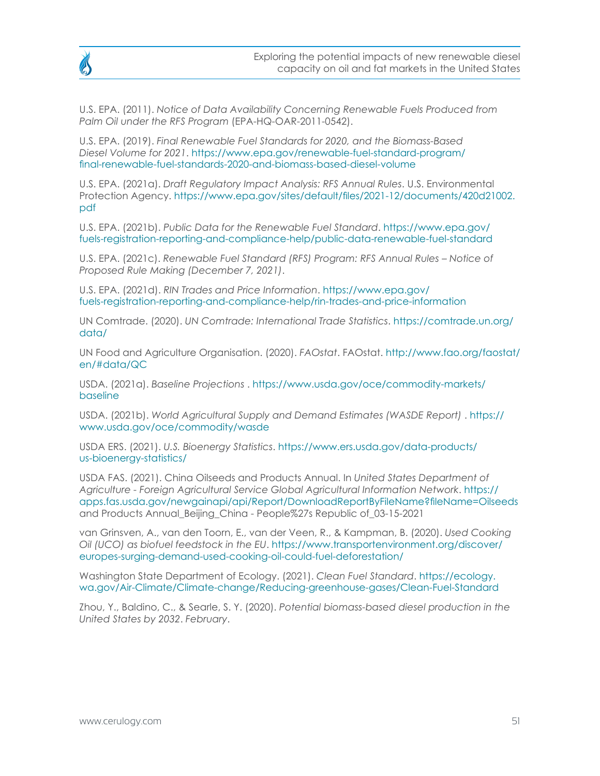

U.S. EPA. (2011). *Notice of Data Availability Concerning Renewable Fuels Produced from Palm Oil under the RFS Program* (EPA-HQ-OAR-2011-0542).

U.S. EPA. (2019). *Final Renewable Fuel Standards for 2020, and the Biomass-Based Diesel Volume for 2021*. [https://www.epa.gov/renewable-fuel-standard-program/](https://www.epa.gov/renewable-fuel-standard-program/final-renewable-fuel-standards-2020-and-biomass-based-diesel-volume) [final-renewable-fuel-standards-2020-and-biomass-based-diesel-volume](https://www.epa.gov/renewable-fuel-standard-program/final-renewable-fuel-standards-2020-and-biomass-based-diesel-volume)

U.S. EPA. (2021a). *Draft Regulatory Impact Analysis: RFS Annual Rules*. U.S. Environmental Protection Agency. [https://www.epa.gov/sites/default/files/2021-12/documents/420d21002.](https://www.epa.gov/sites/default/files/2021-12/documents/420d21002.pdf) [pdf](https://www.epa.gov/sites/default/files/2021-12/documents/420d21002.pdf)

U.S. EPA. (2021b). *Public Data for the Renewable Fuel Standard*. [https://www.epa.gov/](https://www.epa.gov/fuels-registration-reporting-and-compliance-help/public-data-renewable-fuel-standard) [fuels-registration-reporting-and-compliance-help/public-data-renewable-fuel-standard](https://www.epa.gov/fuels-registration-reporting-and-compliance-help/public-data-renewable-fuel-standard)

U.S. EPA. (2021c). *Renewable Fuel Standard (RFS) Program: RFS Annual Rules – Notice of Proposed Rule Making (December 7, 2021)*.

U.S. EPA. (2021d). *RIN Trades and Price Information*. [https://www.epa.gov/](https://www.epa.gov/fuels-registration-reporting-and-compliance-help/rin-trades-and-price-information) [fuels-registration-reporting-and-compliance-help/rin-trades-and-price-information](https://www.epa.gov/fuels-registration-reporting-and-compliance-help/rin-trades-and-price-information)

UN Comtrade. (2020). *UN Comtrade: International Trade Statistics*. [https://comtrade.un.org/](https://comtrade.un.org/data/) [data/](https://comtrade.un.org/data/)

UN Food and Agriculture Organisation. (2020). *FAOstat*. FAOstat. [http://www.fao.org/faostat/](http://www.fao.org/faostat/en/#data/QC) [en/#data/QC](http://www.fao.org/faostat/en/#data/QC)

USDA. (2021a). *Baseline Projections* . [https://www.usda.gov/oce/commodity-markets/](https://www.usda.gov/oce/commodity-markets/baseline) [baseline](https://www.usda.gov/oce/commodity-markets/baseline)

USDA. (2021b). *World Agricultural Supply and Demand Estimates (WASDE Report)* . [https://](https://www.usda.gov/oce/commodity/wasde) [www.usda.gov/oce/commodity/wasde](https://www.usda.gov/oce/commodity/wasde)

USDA ERS. (2021). *U.S. Bioenergy Statistics*. [https://www.ers.usda.gov/data-products/](https://www.ers.usda.gov/data-products/us-bioenergy-statistics/) [us-bioenergy-statistics/](https://www.ers.usda.gov/data-products/us-bioenergy-statistics/)

USDA FAS. (2021). China Oilseeds and Products Annual. In *United States Department of Agriculture - Foreign Agricultural Service Global Agricultural Information Network*. [https://](https://apps.fas.usda.gov/newgainapi/api/Report/DownloadReportByFileName?fileName=Oilseeds) [apps.fas.usda.gov/newgainapi/api/Report/DownloadReportByFileName?fileName=Oilseeds](https://apps.fas.usda.gov/newgainapi/api/Report/DownloadReportByFileName?fileName=Oilseeds) and Products Annual\_Beijing\_China - People%27s Republic of\_03-15-2021

van Grinsven, A., van den Toorn, E., van der Veen, R., & Kampman, B. (2020). *Used Cooking Oil (UCO) as biofuel feedstock in the EU*. [https://www.transportenvironment.org/discover/](https://www.transportenvironment.org/discover/europes-surging-demand-used-cooking-oil-could-fuel-deforestation/) [europes-surging-demand-used-cooking-oil-could-fuel-deforestation/](https://www.transportenvironment.org/discover/europes-surging-demand-used-cooking-oil-could-fuel-deforestation/)

Washington State Department of Ecology. (2021). *Clean Fuel Standard*. [https://ecology.](https://ecology.wa.gov/Air-Climate/Climate-change/Reducing-greenhouse-gases/Clean-Fuel-Standard) [wa.gov/Air-Climate/Climate-change/Reducing-greenhouse-gases/Clean-Fuel-Standard](https://ecology.wa.gov/Air-Climate/Climate-change/Reducing-greenhouse-gases/Clean-Fuel-Standard)

Zhou, Y., Baldino, C., & Searle, S. Y. (2020). *Potential biomass-based diesel production in the United States by 2032*. *February*.